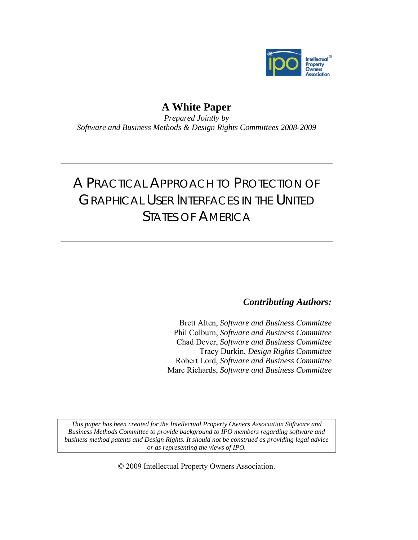

# **A White Paper**

*Prepared Jointly by Software and Business Methods & Design Rights Committees 2008-2009* 

# A PRACTICAL APPROACH TO PROTECTION OF GRAPHICAL USER INTERFACES IN THE UNITED STATES OF AMERICA

*Contributing Authors:* 

Brett Alten, *Software and Business Committee* Phil Colburn, *Software and Business Committee*  Chad Dever, *Software and Business Committee*  Tracy Durkin, *Design Rights Committee*  Robert Lord, *Software and Business Committee*  Marc Richards, *Software and Business Committee* 

*This paper has been created for the Intellectual Property Owners Association Software and Business Methods Committee to provide background to IPO members regarding software and business method patents and Design Rights. It should not be construed as providing legal advice or as representing the views of IPO.* 

© 2009 Intellectual Property Owners Association.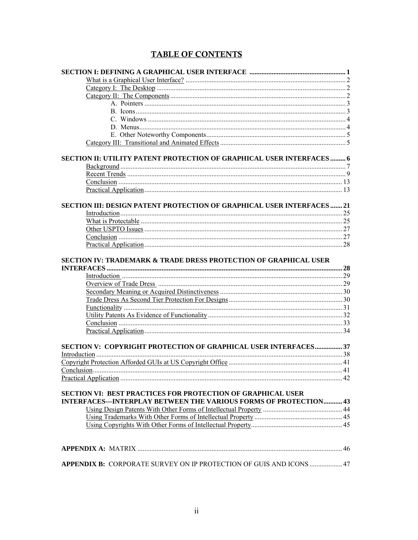# **TABLE OF CONTENTS**

| SECTION II: UTILITY PATENT PROTECTION OF GRAPHICAL USER INTERFACES 6                                                                         |  |
|----------------------------------------------------------------------------------------------------------------------------------------------|--|
|                                                                                                                                              |  |
|                                                                                                                                              |  |
|                                                                                                                                              |  |
|                                                                                                                                              |  |
| SECTION III: DESIGN PATENT PROTECTION OF GRAPHICAL USER INTERFACES  21                                                                       |  |
|                                                                                                                                              |  |
|                                                                                                                                              |  |
|                                                                                                                                              |  |
|                                                                                                                                              |  |
|                                                                                                                                              |  |
| <b>SECTION IV: TRADEMARK &amp; TRADE DRESS PROTECTION OF GRAPHICAL USER</b>                                                                  |  |
|                                                                                                                                              |  |
|                                                                                                                                              |  |
|                                                                                                                                              |  |
|                                                                                                                                              |  |
|                                                                                                                                              |  |
|                                                                                                                                              |  |
|                                                                                                                                              |  |
| SECTION V: COPYRIGHT PROTECTION OF GRAPHICAL USER INTERFACES 37                                                                              |  |
|                                                                                                                                              |  |
|                                                                                                                                              |  |
|                                                                                                                                              |  |
|                                                                                                                                              |  |
| <b>SECTION VI: BEST PRACTICES FOR PROTECTION OF GRAPHICAL USER</b><br><b>INTERFACES-INTERPLAY BETWEEN THE VARIOUS FORMS OF PROTECTION 43</b> |  |
|                                                                                                                                              |  |
|                                                                                                                                              |  |
|                                                                                                                                              |  |
|                                                                                                                                              |  |
|                                                                                                                                              |  |
|                                                                                                                                              |  |
| APPENDIX B: CORPORATE SURVEY ON IP PROTECTION OF GUIS AND ICONS  47                                                                          |  |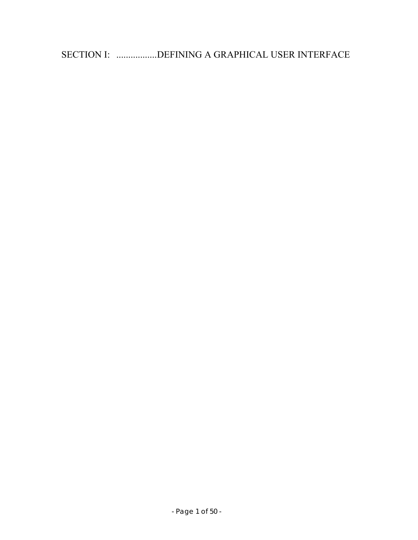SECTION I: .................DEFINING A GRAPHICAL USER INTERFACE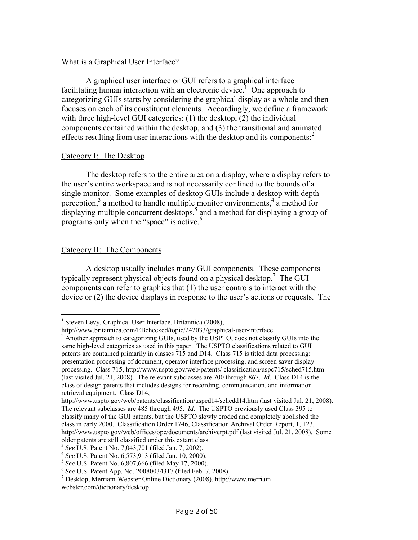# What is a Graphical User Interface?

 A graphical user interface or GUI refers to a graphical interface facilitating human interaction with an electronic device.<sup>1</sup> One approach to categorizing GUIs starts by considering the graphical display as a whole and then focuses on each of its constituent elements. Accordingly, we define a framework with three high-level GUI categories: (1) the desktop, (2) the individual components contained within the desktop, and (3) the transitional and animated effects resulting from user interactions with the desktop and its components: $2$ 

# Category I: The Desktop

 The desktop refers to the entire area on a display, where a display refers to the user's entire workspace and is not necessarily confined to the bounds of a single monitor. Some examples of desktop GUIs include a desktop with depth perception, $3$  a method to handle multiple monitor environments,  $4$  a method for displaying multiple concurrent desktops,<sup>5</sup> and a method for displaying a group of programs only when the "space" is active.<sup>6</sup>

# Category II: The Components

 $\overline{a}$ 

 A desktop usually includes many GUI components. These components typically represent physical objects found on a physical desktop.7 The GUI components can refer to graphics that (1) the user controls to interact with the device or (2) the device displays in response to the user's actions or requests. The

<sup>&</sup>lt;sup>1</sup> Steven Levy, Graphical User Interface, Britannica (2008),

http://www.britannica.com/EBchecked/topic/242033/graphical-user-interface. 2

<sup>&</sup>lt;sup>2</sup> Another approach to categorizing GUIs, used by the USPTO, does not classify GUIs into the same high-level categories as used in this paper. The USPTO classifications related to GUI patents are contained primarily in classes 715 and D14. Class 715 is titled data processing: presentation processing of document, operator interface processing, and screen saver display processing. Class 715, http://www.uspto.gov/web/patents/ classification/uspc715/sched715.htm (last visited Jul. 21, 2008). The relevant subclasses are 700 through 867. *Id.* Class D14 is the class of design patents that includes designs for recording, communication, and information retrieval equipment. Class D14,

http://www.uspto.gov/web/patents/classification/uspcd14/schedd14.htm (last visited Jul. 21, 2008). The relevant subclasses are 485 through 495. *Id.* The USPTO previously used Class 395 to classify many of the GUI patents, but the USPTO slowly eroded and completely abolished the class in early 2000. Classification Order 1746, Classification Archival Order Report, 1, 123, http://www.uspto.gov/web/offices/opc/documents/archiverpt.pdf (last visited Jul. 21, 2008). Some older patents are still classified under this extant class.<br> $3 \text{ See } U.S.$  Patent No. 7,043,701 (filed Jan. 7, 2002).

<sup>&</sup>lt;sup>4</sup> See U.S. Patent No. 6,573,913 (filed Jan. 10, 2000).<br>
<sup>5</sup> See U.S. Patent No. 6,807,666 (filed May 17, 2000).<br>
<sup>6</sup> See U.S. Patent App. No. 20080034317 (filed Feb. 7, 2008).

Desktop, Merriam-Webster Online Dictionary (2008), http://www.merriamwebster.com/dictionary/desktop.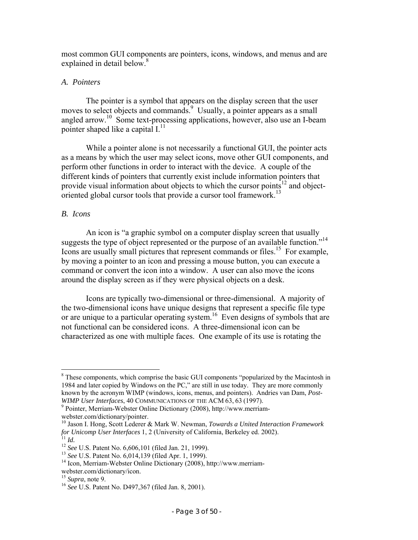most common GUI components are pointers, icons, windows, and menus and are explained in detail below.<sup>8</sup>

# *A. Pointers*

 The pointer is a symbol that appears on the display screen that the user moves to select objects and commands.<sup>9</sup> Usually, a pointer appears as a small angled arrow.10 Some text-processing applications, however, also use an I-beam pointer shaped like a capital  $I<sub>11</sub>$ <sup>11</sup>

 While a pointer alone is not necessarily a functional GUI, the pointer acts as a means by which the user may select icons, move other GUI components, and perform other functions in order to interact with the device. A couple of the different kinds of pointers that currently exist include information pointers that provide visual information about objects to which the cursor points<sup>12</sup> and objectoriented global cursor tools that provide a cursor tool framework.<sup>13</sup>

# *B. Icons*

 An icon is "a graphic symbol on a computer display screen that usually suggests the type of object represented or the purpose of an available function."<sup>14</sup> Icons are usually small pictures that represent commands or files.<sup>15</sup> For example, by moving a pointer to an icon and pressing a mouse button, you can execute a command or convert the icon into a window. A user can also move the icons around the display screen as if they were physical objects on a desk.

 Icons are typically two-dimensional or three-dimensional. A majority of the two-dimensional icons have unique designs that represent a specific file type or are unique to a particular operating system.<sup>16</sup> Even designs of symbols that are not functional can be considered icons. A three-dimensional icon can be characterized as one with multiple faces. One example of its use is rotating the

<sup>&</sup>lt;sup>8</sup> These components, which comprise the basic GUI components "popularized by the Macintosh in 1984 and later copied by Windows on the PC," are still in use today. They are more commonly known by the acronym WIMP (windows, icons, menus, and pointers). Andries van Dam, *Post-WIMP User Interfaces, 40 COMMUNICATIONS OF THE ACM 63, 63 (1997).* 

Pointer, Merriam-Webster Online Dictionary (2008), http://www.merriamwebster.com/dictionary/pointer.

<sup>10</sup> Jason I. Hong, Scott Lederer & Mark W. Newman, *Towards a United Interaction Framework*  for Unicomp User Interfaces 1, 2 (University of California, Berkeley ed. 2002).<br>
<sup>11</sup> Id.<br>
<sup>12</sup> See U.S. Patent No. 6,606,101 (filed Jan. 21, 1999).<br>
<sup>13</sup> See U.S. Patent No. 6,014,139 (filed Apr. 1, 1999).<br>
<sup>14</sup> Icon, Me

webster.com/dictionary/icon.<br><sup>15</sup> Supra, note 9.

<sup>&</sup>lt;sup>16</sup> See U.S. Patent No. D497,367 (filed Jan. 8, 2001).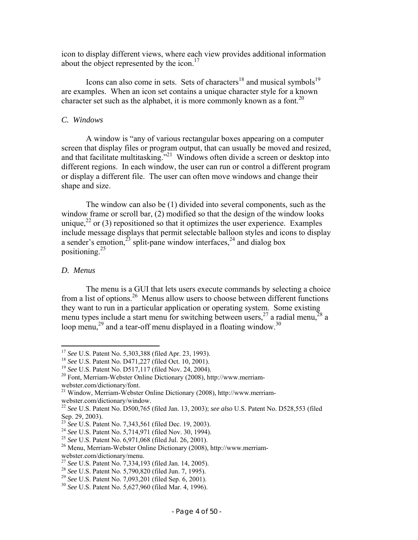icon to display different views, where each view provides additional information about the object represented by the icon.<sup>17</sup>

Icons can also come in sets. Sets of characters<sup>18</sup> and musical symbols<sup>19</sup> are examples. When an icon set contains a unique character style for a known character set such as the alphabet, it is more commonly known as a font.<sup>20</sup>

#### *C. Windows*

 A window is "any of various rectangular boxes appearing on a computer screen that display files or program output, that can usually be moved and resized, and that facilitate multitasking."<sup>21</sup> Windows often divide a screen or desktop into different regions. In each window, the user can run or control a different program or display a different file. The user can often move windows and change their shape and size.

 The window can also be (1) divided into several components, such as the window frame or scroll bar, (2) modified so that the design of the window looks unique,<sup>22</sup> or (3) repositioned so that it optimizes the user experience. Examples include message displays that permit selectable balloon styles and icons to display a sender's emotion,<sup>23</sup> split-pane window interfaces,<sup>24</sup> and dialog box positioning. $^{25}$ 

### *D. Menus*

 The menu is a GUI that lets users execute commands by selecting a choice from a list of options.26 Menus allow users to choose between different functions they want to run in a particular application or operating system. Some existing menu types include a start menu for switching between users,  $2^7$  a radial menu,  $2^8$  a loop menu,<sup>29</sup> and a tear-off menu displayed in a floating window.<sup>30</sup>

<sup>&</sup>lt;sup>17</sup> See U.S. Patent No. 5,303,388 (filed Apr. 23, 1993).

<sup>&</sup>lt;sup>18</sup> See U.S. Patent No. D471,227 (filed Oct. 10, 2001).<br><sup>19</sup> See U.S. Patent No. D517,117 (filed Nov. 24, 2004).<br><sup>20</sup> Font, Merriam-Webster Online Dictionary (2008), http://www.merriamwebster.com/dictionary/font.

<sup>&</sup>lt;sup>21</sup> Window, Merriam-Webster Online Dictionary (2008), http://www.merriamwebster.com/dictionary/window.

<sup>22</sup> *See* U.S. Patent No. D500,765 (filed Jan. 13, 2003); *see also* U.S. Patent No. D528,553 (filed Sep. 29, 2003).<br><sup>23</sup> See U.S. Patent No. 7,343,561 (filed Dec. 19, 2003).

<sup>&</sup>lt;sup>24</sup> See U.S. Patent No.  $5,714,971$  (filed Nov. 30, 1994).<br><sup>25</sup> See U.S. Patent No. 6,971,068 (filed Jul. 26, 2001).<br><sup>26</sup> Menu, Merriam-Webster Online Dictionary (2008), http://www.merriam-

webster.com/dictionary/menu.<br>
<sup>27</sup> See U.S. Patent No. 7,334,193 (filed Jan. 14, 2005).

<sup>&</sup>lt;sup>28</sup> See U.S. Patent No. 5,790,820 (filed Jun. 7, 1995).<br><sup>29</sup> See U.S. Patent No. 7,093,201 (filed Sep. 6, 2001).<br><sup>30</sup> See U.S. Patent No. 5,627,960 (filed Mar. 4, 1996).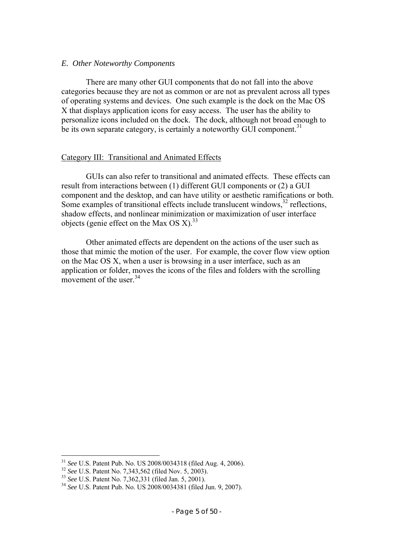#### *E. Other Noteworthy Components*

 There are many other GUI components that do not fall into the above categories because they are not as common or are not as prevalent across all types of operating systems and devices. One such example is the dock on the Mac OS X that displays application icons for easy access. The user has the ability to personalize icons included on the dock. The dock, although not broad enough to be its own separate category, is certainly a noteworthy GUI component.<sup>31</sup>

# Category III: Transitional and Animated Effects

 GUIs can also refer to transitional and animated effects. These effects can result from interactions between (1) different GUI components or (2) a GUI component and the desktop, and can have utility or aesthetic ramifications or both. Some examples of transitional effects include translucent windows, $32$  reflections, shadow effects, and nonlinear minimization or maximization of user interface objects (genie effect on the Max OS X).<sup>33</sup>

 Other animated effects are dependent on the actions of the user such as those that mimic the motion of the user. For example, the cover flow view option on the Mac OS X, when a user is browsing in a user interface, such as an application or folder, moves the icons of the files and folders with the scrolling movement of the user  $34$ 

<sup>&</sup>lt;sup>31</sup> See U.S. Patent Pub. No. US 2008/0034318 (filed Aug. 4, 2006).<br><sup>32</sup> See U.S. Patent No. 7,343,562 (filed Nov. 5, 2003).<br><sup>33</sup> See U.S. Patent No. 7,362,331 (filed Jan. 5, 2001).<br><sup>34</sup> See U.S. Patent Pub. No. US 2008/00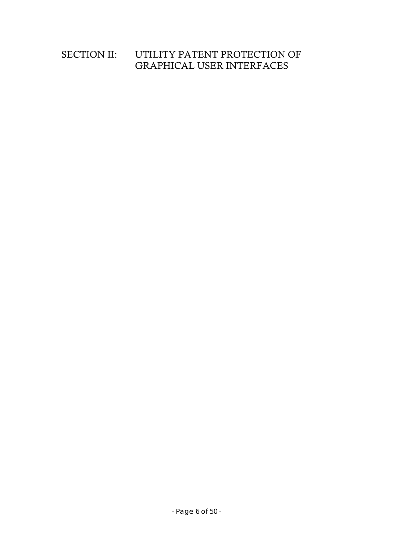# SECTION II: UTILITY PATENT PROTECTION OF GRAPHICAL USER INTERFACES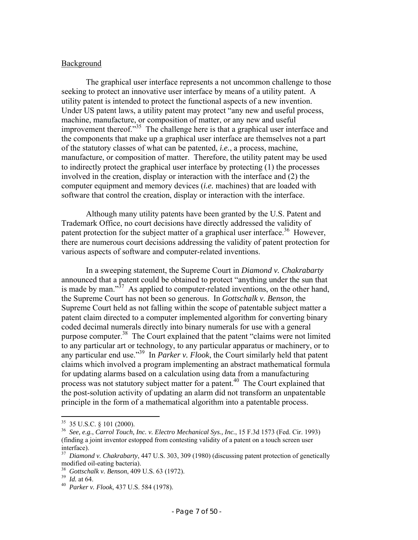#### Background

The graphical user interface represents a not uncommon challenge to those seeking to protect an innovative user interface by means of a utility patent. A utility patent is intended to protect the functional aspects of a new invention. Under US patent laws, a utility patent may protect "any new and useful process, machine, manufacture, or composition of matter, or any new and useful improvement thereof.<sup>35</sup> The challenge here is that a graphical user interface and the components that make up a graphical user interface are themselves not a part of the statutory classes of what can be patented, *i.e.*, a process, machine, manufacture, or composition of matter. Therefore, the utility patent may be used to indirectly protect the graphical user interface by protecting (1) the processes involved in the creation, display or interaction with the interface and (2) the computer equipment and memory devices (*i.e.* machines) that are loaded with software that control the creation, display or interaction with the interface.

 Although many utility patents have been granted by the U.S. Patent and Trademark Office, no court decisions have directly addressed the validity of patent protection for the subject matter of a graphical user interface.<sup>36</sup> However, there are numerous court decisions addressing the validity of patent protection for various aspects of software and computer-related inventions.

 In a sweeping statement, the Supreme Court in *Diamond v. Chakrabarty* announced that a patent could be obtained to protect "anything under the sun that is made by man." $37$  As applied to computer-related inventions, on the other hand, the Supreme Court has not been so generous. In *Gottschalk v. Benson*, the Supreme Court held as not falling within the scope of patentable subject matter a patent claim directed to a computer implemented algorithm for converting binary coded decimal numerals directly into binary numerals for use with a general purpose computer.38 The Court explained that the patent "claims were not limited to any particular art or technology, to any particular apparatus or machinery, or to any particular end use."39 In *Parker v. Flook*, the Court similarly held that patent claims which involved a program implementing an abstract mathematical formula for updating alarms based on a calculation using data from a manufacturing process was not statutory subject matter for a patent.<sup>40</sup> The Court explained that the post-solution activity of updating an alarm did not transform an unpatentable principle in the form of a mathematical algorithm into a patentable process.

1

 $35$  35 U.S.C. § 101 (2000).

<sup>36</sup> *See, e.g.*, *Carrol Touch, Inc. v. Electro Mechanical Sys., Inc.*, 15 F.3d 1573 (Fed. Cir. 1993) (finding a joint inventor estopped from contesting validity of a patent on a touch screen user interface).

<sup>&</sup>lt;sup>37</sup> Diamond v. Chakrabarty, 447 U.S. 303, 309 (1980) (discussing patent protection of genetically modified oil-eating bacteria).<br><sup>38</sup> Gottschalk v. Benson, 409 U.S. 63 (1972).

<sup>38</sup>*Gottschalk v. Benson*, 409 U.S. 63 (1972). 39 *Id.* at 64. 40 *Parker v. Flook*, 437 U.S. 584 (1978).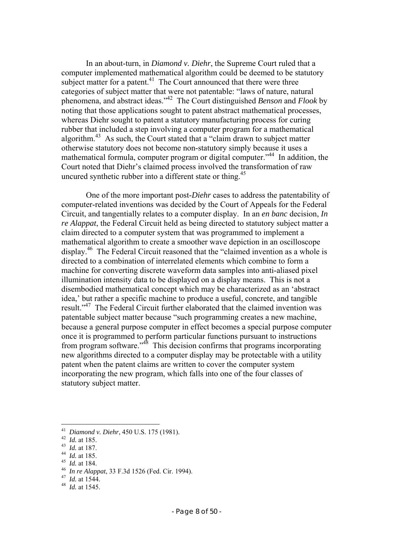In an about-turn, in *Diamond v. Diehr*, the Supreme Court ruled that a computer implemented mathematical algorithm could be deemed to be statutory subject matter for a patent. $41$  The Court announced that there were three categories of subject matter that were not patentable: "laws of nature, natural phenomena, and abstract ideas."42 The Court distinguished *Benson* and *Flook* by noting that those applications sought to patent abstract mathematical processes, whereas Diehr sought to patent a statutory manufacturing process for curing rubber that included a step involving a computer program for a mathematical algorithm.<sup>43</sup> As such, the Court stated that a "claim drawn to subject matter otherwise statutory does not become non-statutory simply because it uses a mathematical formula, computer program or digital computer."44 In addition, the Court noted that Diehr's claimed process involved the transformation of raw uncured synthetic rubber into a different state or thing.<sup>45</sup>

One of the more important post-*Diehr* cases to address the patentability of computer-related inventions was decided by the Court of Appeals for the Federal Circuit, and tangentially relates to a computer display. In an *en banc* decision, *In re Alappat*, the Federal Circuit held as being directed to statutory subject matter a claim directed to a computer system that was programmed to implement a mathematical algorithm to create a smoother wave depiction in an oscilloscope display.<sup>46</sup> The Federal Circuit reasoned that the "claimed invention as a whole is directed to a combination of interrelated elements which combine to form a machine for converting discrete waveform data samples into anti-aliased pixel illumination intensity data to be displayed on a display means. This is not a disembodied mathematical concept which may be characterized as an 'abstract idea,' but rather a specific machine to produce a useful, concrete, and tangible result."<sup>47</sup> The Federal Circuit further elaborated that the claimed invention was patentable subject matter because "such programming creates a new machine, because a general purpose computer in effect becomes a special purpose computer once it is programmed to perform particular functions pursuant to instructions from program software."48 This decision confirms that programs incorporating new algorithms directed to a computer display may be protectable with a utility patent when the patent claims are written to cover the computer system incorporating the new program, which falls into one of the four classes of statutory subject matter.

- 
- 

<sup>&</sup>lt;sup>41</sup> Diamond v. Diehr, 450 U.S. 175 (1981).

<sup>&</sup>lt;sup>42</sup> *Id.* at 185.<br>
<sup>43</sup> *Id.* at 187.<br>
<sup>44</sup> *Id.* at 187.<br>
<sup>44</sup> *Id.* at 187.<br>
<sup>45</sup> *Id.* at 184.<br>
<sup>46</sup> *In re Alappat*, 33 F.3d 1526 (Fed. Cir. 1994).<br>
<sup>47</sup> *Id.* at 1544.<br>
<sup>48</sup> *Id.* at 1545.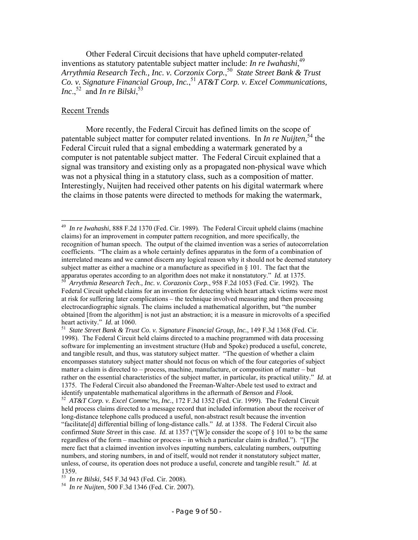Other Federal Circuit decisions that have upheld computer-related inventions as statutory patentable subject matter include: *In re Iwahashi*, 49 *Arrythmia Research Tech., Inc. v. Corzonix Corp.*, 50 *State Street Bank & Trust Co. v. Signature Financial Group, Inc.*, <sup>51</sup> *AT&T Corp. v. Excel Communications, Inc.*,<sup>52</sup> and *In re Bilski*,<sup>53</sup>

### Recent Trends

 $\overline{a}$ 

More recently, the Federal Circuit has defined limits on the scope of patentable subject matter for computer related inventions. In *In re Nuijten*, 54 the Federal Circuit ruled that a signal embedding a watermark generated by a computer is not patentable subject matter. The Federal Circuit explained that a signal was transitory and existing only as a propagated non-physical wave which was not a physical thing in a statutory class, such as a composition of matter. Interestingly, Nuijten had received other patents on his digital watermark where the claims in those patents were directed to methods for making the watermark,

<sup>49</sup> *In re Iwahashi*, 888 F.2d 1370 (Fed. Cir. 1989). The Federal Circuit upheld claims (machine claims) for an improvement in computer pattern recognition, and more specifically, the recognition of human speech. The output of the claimed invention was a series of autocorrelation coefficients. "The claim as a whole certainly defines apparatus in the form of a combination of interrelated means and we cannot discern any logical reason why it should not be deemed statutory subject matter as either a machine or a manufacture as specified in  $\S$  101. The fact that the apparatus operates according to an algorithm does not make it nonstatutory." *Id.* at 1375.

Arrythmia Research Tech., Inc. v. Corazonix Corp., 958 F.2d 1053 (Fed. Cir. 1992). The Federal Circuit upheld claims for an invention for detecting which heart attack victims were most at risk for suffering later complications – the technique involved measuring and then processing electrocardiographic signals. The claims included a mathematical algorithm, but "the number obtained [from the algorithm] is not just an abstraction; it is a measure in microvolts of a specified heart activity." *Id.* at 1060.<br><sup>51</sup> *State Street Bank & Trust Co. v. Signature Financial Group, Inc.*, 149 F.3d 1368 (Fed. Cir.

<sup>1998).</sup> The Federal Circuit held claims directed to a machine programmed with data processing software for implementing an investment structure (Hub and Spoke) produced a useful, concrete, and tangible result, and thus, was statutory subject matter. "The question of whether a claim encompasses statutory subject matter should not focus on which of the four categories of subject matter a claim is directed to – process, machine, manufacture, or composition of matter – but rather on the essential characteristics of the subject matter, in particular, its practical utility." *Id.* at 1375. The Federal Circuit also abandoned the Freeman-Walter-Abele test used to extract and

identify unpatentable mathematical algorithms in the aftermath of *Benson* and *Flook*.<br><sup>52</sup> AT&T Corp. v. Excel Commc'ns, Inc., 172 F.3d 1352 (Fed. Cir. 1999). The Federal Circuit held process claims directed to a message record that included information about the receiver of long-distance telephone calls produced a useful, non-abstract result because the invention "facilitate[d] differential billing of long-distance calls." *Id.* at 1358. The Federal Circuit also confirmed *State Street* in this case. *Id.* at 1357 ("[W]e consider the scope of § 101 to be the same regardless of the form – machine or process – in which a particular claim is drafted."). "[T]he mere fact that a claimed invention involves inputting numbers, calculating numbers, outputting numbers, and storing numbers, in and of itself, would not render it nonstatutory subject matter, unless, of course, its operation does not produce a useful, concrete and tangible result." *Id.* at

<sup>1359.&</sup>lt;br><sup>53</sup> In re Bilski, 545 F.3d 943 (Fed. Cir. 2008).

<sup>&</sup>lt;sup>54</sup> In re Nuijten, 500 F.3d 1346 (Fed. Cir. 2007).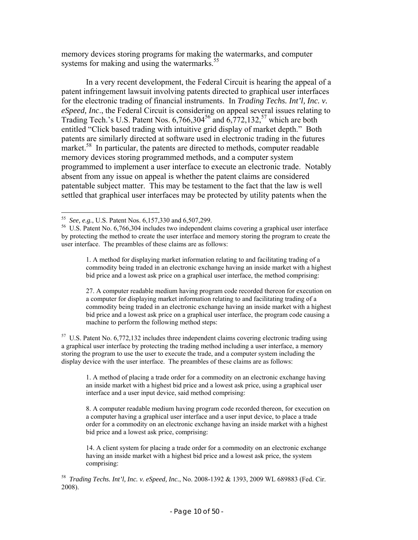memory devices storing programs for making the watermarks, and computer systems for making and using the watermarks.<sup>55</sup>

In a very recent development, the Federal Circuit is hearing the appeal of a patent infringement lawsuit involving patents directed to graphical user interfaces for the electronic trading of financial instruments. In *Trading Techs. Int'l, Inc. v. eSpeed, Inc*., the Federal Circuit is considering on appeal several issues relating to Trading Tech.'s U.S. Patent Nos.  $6,766,304^{56}$  and  $6,772,132,57$  which are both entitled "Click based trading with intuitive grid display of market depth." Both patents are similarly directed at software used in electronic trading in the futures market.<sup>58</sup> In particular, the patents are directed to methods, computer readable memory devices storing programmed methods, and a computer system programmed to implement a user interface to execute an electronic trade. Notably absent from any issue on appeal is whether the patent claims are considered patentable subject matter. This may be testament to the fact that the law is well settled that graphical user interfaces may be protected by utility patents when the

27. A computer readable medium having program code recorded thereon for execution on a computer for displaying market information relating to and facilitating trading of a commodity being traded in an electronic exchange having an inside market with a highest bid price and a lowest ask price on a graphical user interface, the program code causing a machine to perform the following method steps:

<sup>57</sup> U.S. Patent No. 6,772,132 includes three independent claims covering electronic trading using a graphical user interface by protecting the trading method including a user interface, a memory storing the program to use the user to execute the trade, and a computer system including the display device with the user interface. The preambles of these claims are as follows:

1. A method of placing a trade order for a commodity on an electronic exchange having an inside market with a highest bid price and a lowest ask price, using a graphical user interface and a user input device, said method comprising:

8. A computer readable medium having program code recorded thereon, for execution on a computer having a graphical user interface and a user input device, to place a trade order for a commodity on an electronic exchange having an inside market with a highest bid price and a lowest ask price, comprising:

14. A client system for placing a trade order for a commodity on an electronic exchange having an inside market with a highest bid price and a lowest ask price, the system comprising:

<sup>1</sup> 

<sup>&</sup>lt;sup>55</sup> See, e.g., U.S. Patent Nos. 6,157,330 and 6,507,299.<br><sup>56</sup> U.S. Patent No. 6,766,304 includes two independent claims covering a graphical user interface by protecting the method to create the user interface and memory storing the program to create the user interface. The preambles of these claims are as follows:

<sup>1.</sup> A method for displaying market information relating to and facilitating trading of a commodity being traded in an electronic exchange having an inside market with a highest bid price and a lowest ask price on a graphical user interface, the method comprising:

<sup>58</sup> *Trading Techs. Int'l, Inc. v. eSpeed, Inc.*, No. 2008-1392 & 1393, 2009 WL 689883 (Fed. Cir. 2008).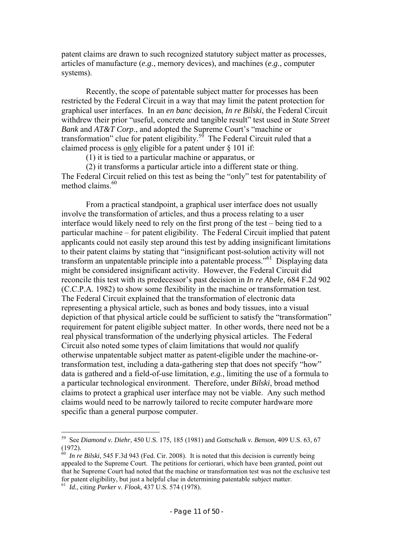patent claims are drawn to such recognized statutory subject matter as processes, articles of manufacture (*e.g.*, memory devices), and machines (*e.g.*, computer systems).

Recently, the scope of patentable subject matter for processes has been restricted by the Federal Circuit in a way that may limit the patent protection for graphical user interfaces. In an *en banc* decision, *In re Bilski*, the Federal Circuit withdrew their prior "useful, concrete and tangible result" test used in *State Street Bank* and *AT&T Corp*., and adopted the Supreme Court's "machine or transformation" clue for patent eligibility.59 The Federal Circuit ruled that a claimed process is only eligible for a patent under § 101 if:

(1) it is tied to a particular machine or apparatus, or

(2) it transforms a particular article into a different state or thing. The Federal Circuit relied on this test as being the "only" test for patentability of method claims  $60$ 

From a practical standpoint, a graphical user interface does not usually involve the transformation of articles, and thus a process relating to a user interface would likely need to rely on the first prong of the test – being tied to a particular machine – for patent eligibility. The Federal Circuit implied that patent applicants could not easily step around this test by adding insignificant limitations to their patent claims by stating that "insignificant post-solution activity will not transform an unpatentable principle into a patentable process."<sup>61</sup> Displaying data might be considered insignificant activity. However, the Federal Circuit did reconcile this test with its predecessor's past decision in *In re Abele*, 684 F.2d 902 (C.C.P.A. 1982) to show some flexibility in the machine or transformation test. The Federal Circuit explained that the transformation of electronic data representing a physical article, such as bones and body tissues, into a visual depiction of that physical article could be sufficient to satisfy the "transformation" requirement for patent eligible subject matter. In other words, there need not be a real physical transformation of the underlying physical articles. The Federal Circuit also noted some types of claim limitations that would *not* qualify otherwise unpatentable subject matter as patent-eligible under the machine-ortransformation test, including a data-gathering step that does not specify "how" data is gathered and a field-of-use limitation, *e.g.*, limiting the use of a formula to a particular technological environment. Therefore, under *Bilski*, broad method claims to protect a graphical user interface may not be viable. Any such method claims would need to be narrowly tailored to recite computer hardware more specific than a general purpose computer.

<sup>59</sup> See *Diamond v. Diehr*, 450 U.S. 175, 185 (1981) and *Gottschalk v. Benson*, 409 U.S. 63, 67 (1972).

<sup>60</sup> *In re Bilski*, 545 F.3d 943 (Fed. Cir. 2008). It is noted that this decision is currently being appealed to the Supreme Court. The petitions for certiorari, which have been granted, point out that he Supreme Court had noted that the machine or transformation test was not the exclusive test for patent eligibility, but just a helpful clue in determining patentable subject matter.

<sup>61</sup> *Id.*, citing *Parker v. Flook*, 437 U.S. 574 (1978).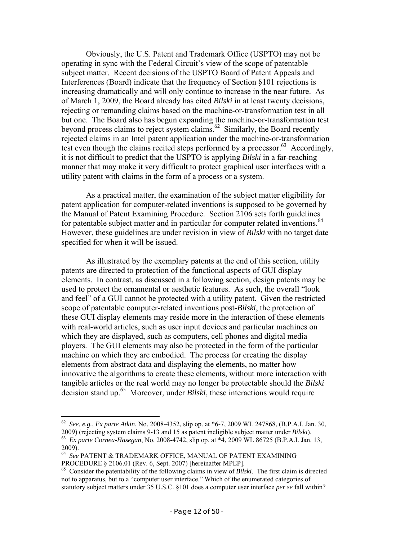Obviously, the U.S. Patent and Trademark Office (USPTO) may not be operating in sync with the Federal Circuit's view of the scope of patentable subject matter. Recent decisions of the USPTO Board of Patent Appeals and Interferences (Board) indicate that the frequency of Section §101 rejections is increasing dramatically and will only continue to increase in the near future. As of March 1, 2009, the Board already has cited *Bilski* in at least twenty decisions, rejecting or remanding claims based on the machine-or-transformation test in all but one. The Board also has begun expanding the machine-or-transformation test beyond process claims to reject system claims.<sup>62</sup> Similarly, the Board recently rejected claims in an Intel patent application under the machine-or-transformation test even though the claims recited steps performed by a processor.<sup>63</sup> Accordingly, it is not difficult to predict that the USPTO is applying *Bilski* in a far-reaching manner that may make it very difficult to protect graphical user interfaces with a utility patent with claims in the form of a process or a system.

As a practical matter, the examination of the subject matter eligibility for patent application for computer-related inventions is supposed to be governed by the Manual of Patent Examining Procedure. Section 2106 sets forth guidelines for patentable subject matter and in particular for computer related inventions.<sup>64</sup> However, these guidelines are under revision in view of *Bilski* with no target date specified for when it will be issued.

As illustrated by the exemplary patents at the end of this section, utility patents are directed to protection of the functional aspects of GUI display elements. In contrast, as discussed in a following section, design patents may be used to protect the ornamental or aesthetic features. As such, the overall "look and feel" of a GUI cannot be protected with a utility patent. Given the restricted scope of patentable computer-related inventions post-*Bilski*, the protection of these GUI display elements may reside more in the interaction of these elements with real-world articles, such as user input devices and particular machines on which they are displayed, such as computers, cell phones and digital media players. The GUI elements may also be protected in the form of the particular machine on which they are embodied. The process for creating the display elements from abstract data and displaying the elements, no matter how innovative the algorithms to create these elements, without more interaction with tangible articles or the real world may no longer be protectable should the *Bilski* decision stand up.65 Moreover, under *Bilski*, these interactions would require

<sup>&</sup>lt;sup>62</sup> *See*, *e.g.*, *Ex parte Atkin*, No. 2008-4352, slip op. at  $*6-7$ , 2009 WL 247868, (B.P.A.I. Jan. 30, 2009) (rejecting system claims 9-13 and 15 as patent ineligible subject matter under *Bilski*). <sup>63</sup> Ex parte Cornea-Hasegan, No. 2008-4742, slip op. at \*4, 2009 WL 86725 (B.P.A.I. Jan. 13,

<sup>2009).</sup>

<sup>64</sup> *See* PATENT & TRADEMARK OFFICE, MANUAL OF PATENT EXAMINING PROCEDURE § 2106.01 (Rev. 6, Sept. 2007) [hereinafter MPEP].

<sup>65</sup> Consider the patentability of the following claims in view of *Bilski*. The first claim is directed not to apparatus, but to a "computer user interface." Which of the enumerated categories of statutory subject matters under 35 U.S.C. §101 does a computer user interface *per se* fall within?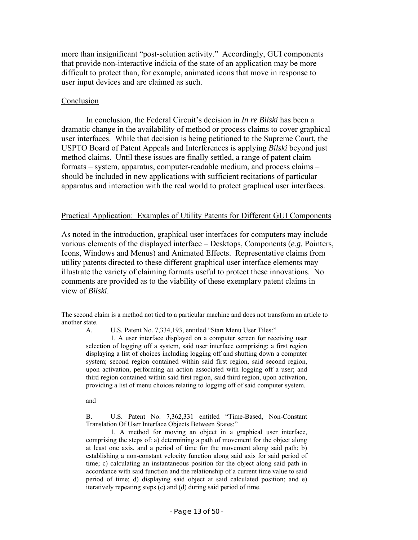more than insignificant "post-solution activity." Accordingly, GUI components that provide non-interactive indicia of the state of an application may be more difficult to protect than, for example, animated icons that move in response to user input devices and are claimed as such.

#### **Conclusion**

In conclusion, the Federal Circuit's decision in *In re Bilski* has been a dramatic change in the availability of method or process claims to cover graphical user interfaces. While that decision is being petitioned to the Supreme Court, the USPTO Board of Patent Appeals and Interferences is applying *Bilski* beyond just method claims. Until these issues are finally settled, a range of patent claim formats – system, apparatus, computer-readable medium, and process claims – should be included in new applications with sufficient recitations of particular apparatus and interaction with the real world to protect graphical user interfaces.

#### Practical Application: Examples of Utility Patents for Different GUI Components

As noted in the introduction, graphical user interfaces for computers may include various elements of the displayed interface – Desktops, Components (*e.g.* Pointers, Icons, Windows and Menus) and Animated Effects. Representative claims from utility patents directed to these different graphical user interface elements may illustrate the variety of claiming formats useful to protect these innovations. No comments are provided as to the viability of these exemplary patent claims in view of *Bilski*.

A. U.S. Patent No. 7,334,193, entitled "Start Menu User Tiles:"<br>1. A user interface displayed on a computer screen for receiving user selection of logging off a system, said user interface comprising: a first region displaying a list of choices including logging off and shutting down a computer system; second region contained within said first region, said second region, upon activation, performing an action associated with logging off a user; and third region contained within said first region, said third region, upon activation, providing a list of menu choices relating to logging off of said computer system.

and

B. U.S. Patent No. 7,362,331 entitled "Time-Based, Non-Constant Translation Of User Interface Objects Between States:"

1. A method for moving an object in a graphical user interface, comprising the steps of: a) determining a path of movement for the object along at least one axis, and a period of time for the movement along said path; b) establishing a non-constant velocity function along said axis for said period of time; c) calculating an instantaneous position for the object along said path in accordance with said function and the relationship of a current time value to said period of time; d) displaying said object at said calculated position; and e) iteratively repeating steps (c) and (d) during said period of time.

The second claim is a method not tied to a particular machine and does not transform an article to another state.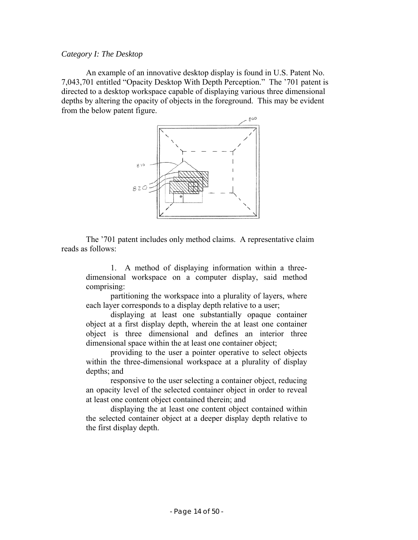#### *Category I: The Desktop*

An example of an innovative desktop display is found in U.S. Patent No. 7,043,701 entitled "Opacity Desktop With Depth Perception." The '701 patent is directed to a desktop workspace capable of displaying various three dimensional depths by altering the opacity of objects in the foreground. This may be evident from the below patent figure.



The '701 patent includes only method claims. A representative claim reads as follows:

1. A method of displaying information within a threedimensional workspace on a computer display, said method comprising:

partitioning the workspace into a plurality of layers, where each layer corresponds to a display depth relative to a user;

displaying at least one substantially opaque container object at a first display depth, wherein the at least one container object is three dimensional and defines an interior three dimensional space within the at least one container object;

providing to the user a pointer operative to select objects within the three-dimensional workspace at a plurality of display depths; and

responsive to the user selecting a container object, reducing an opacity level of the selected container object in order to reveal at least one content object contained therein; and

displaying the at least one content object contained within the selected container object at a deeper display depth relative to the first display depth.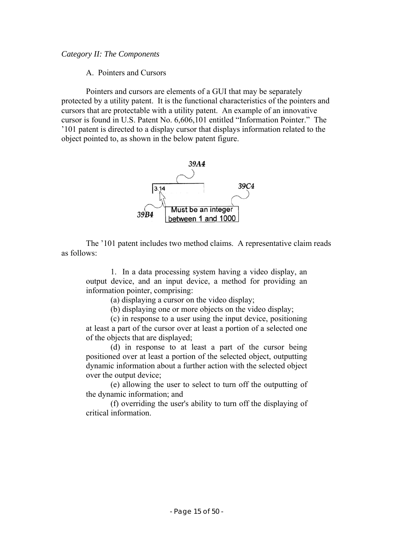# *Category II: The Components*

A. Pointers and Cursors

Pointers and cursors are elements of a GUI that may be separately protected by a utility patent. It is the functional characteristics of the pointers and cursors that are protectable with a utility patent. An example of an innovative cursor is found in U.S. Patent No. 6,606,101 entitled "Information Pointer." The '101 patent is directed to a display cursor that displays information related to the object pointed to, as shown in the below patent figure.



The '101 patent includes two method claims. A representative claim reads as follows:

1. In a data processing system having a video display, an output device, and an input device, a method for providing an information pointer, comprising:

(a) displaying a cursor on the video display;

(b) displaying one or more objects on the video display;

(c) in response to a user using the input device, positioning at least a part of the cursor over at least a portion of a selected one of the objects that are displayed;

(d) in response to at least a part of the cursor being positioned over at least a portion of the selected object, outputting dynamic information about a further action with the selected object over the output device;

(e) allowing the user to select to turn off the outputting of the dynamic information; and

(f) overriding the user's ability to turn off the displaying of critical information.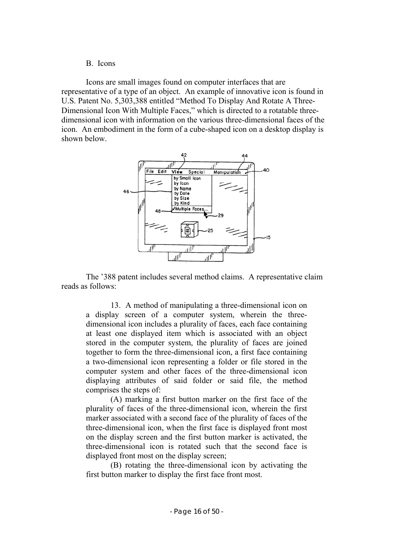#### B. Icons

Icons are small images found on computer interfaces that are representative of a type of an object. An example of innovative icon is found in U.S. Patent No. 5,303,388 entitled "Method To Display And Rotate A Three-Dimensional Icon With Multiple Faces," which is directed to a rotatable threedimensional icon with information on the various three-dimensional faces of the icon. An embodiment in the form of a cube-shaped icon on a desktop display is shown below.



The '388 patent includes several method claims. A representative claim reads as follows:

13. A method of manipulating a three-dimensional icon on a display screen of a computer system, wherein the threedimensional icon includes a plurality of faces, each face containing at least one displayed item which is associated with an object stored in the computer system, the plurality of faces are joined together to form the three-dimensional icon, a first face containing a two-dimensional icon representing a folder or file stored in the computer system and other faces of the three-dimensional icon displaying attributes of said folder or said file, the method comprises the steps of:

(A) marking a first button marker on the first face of the plurality of faces of the three-dimensional icon, wherein the first marker associated with a second face of the plurality of faces of the three-dimensional icon, when the first face is displayed front most on the display screen and the first button marker is activated, the three-dimensional icon is rotated such that the second face is displayed front most on the display screen;

(B) rotating the three-dimensional icon by activating the first button marker to display the first face front most.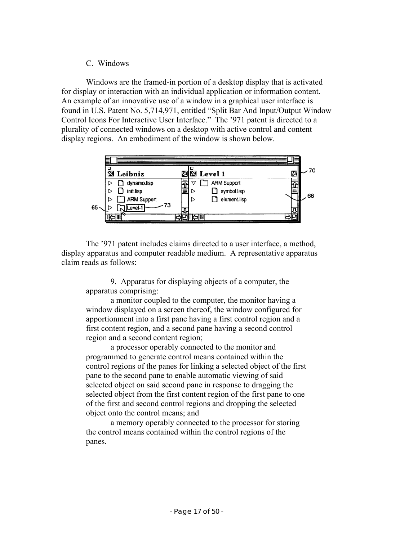# C. Windows

Windows are the framed-in portion of a desktop display that is activated for display or interaction with an individual application or information content. An example of an innovative use of a window in a graphical user interface is found in U.S. Patent No. 5,714,971, entitled "Split Bar And Input/Output Window Control Icons For Interactive User Interface." The '971 patent is directed to a plurality of connected windows on a desktop with active control and content display regions. An embodiment of the window is shown below.



The '971 patent includes claims directed to a user interface, a method, display apparatus and computer readable medium. A representative apparatus claim reads as follows:

9. Apparatus for displaying objects of a computer, the apparatus comprising:

a monitor coupled to the computer, the monitor having a window displayed on a screen thereof, the window configured for apportionment into a first pane having a first control region and a first content region, and a second pane having a second control region and a second content region;

a processor operably connected to the monitor and programmed to generate control means contained within the control regions of the panes for linking a selected object of the first pane to the second pane to enable automatic viewing of said selected object on said second pane in response to dragging the selected object from the first content region of the first pane to one of the first and second control regions and dropping the selected object onto the control means; and

a memory operably connected to the processor for storing the control means contained within the control regions of the panes.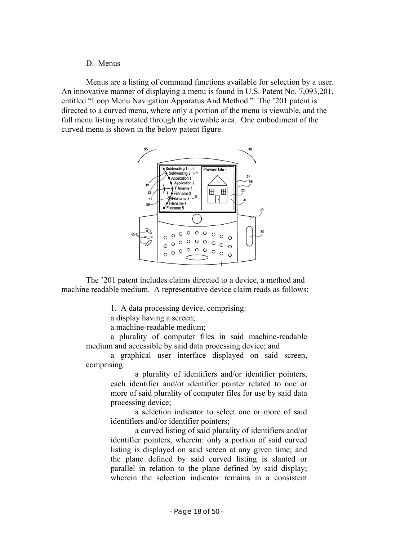#### D. Menus

Menus are a listing of command functions available for selection by a user. An innovative manner of displaying a menu is found in U.S. Patent No. 7,093,201, entitled "Loop Menu Navigation Apparatus And Method." The '201 patent is directed to a curved menu, where only a portion of the menu is viewable, and the full menu listing is rotated through the viewable area. One embodiment of the curved menu is shown in the below patent figure.



The '201 patent includes claims directed to a device, a method and machine readable medium. A representative device claim reads as follows:

1. A data processing device, comprising:

a display having a screen;

a machine-readable medium;

a plurality of computer files in said machine-readable medium and accessible by said data processing device; and

a graphical user interface displayed on said screen, comprising:

> a plurality of identifiers and/or identifier pointers, each identifier and/or identifier pointer related to one or more of said plurality of computer files for use by said data processing device;

> a selection indicator to select one or more of said identifiers and/or identifier pointers;

> a curved listing of said plurality of identifiers and/or identifier pointers, wherein: only a portion of said curved listing is displayed on said screen at any given time; and the plane defined by said curved listing is slanted or parallel in relation to the plane defined by said display; wherein the selection indicator remains in a consistent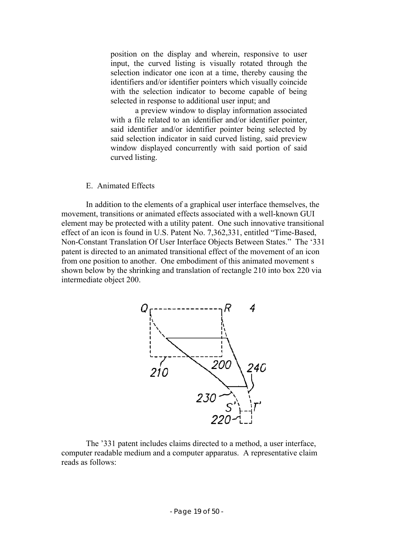position on the display and wherein, responsive to user input, the curved listing is visually rotated through the selection indicator one icon at a time, thereby causing the identifiers and/or identifier pointers which visually coincide with the selection indicator to become capable of being selected in response to additional user input; and

a preview window to display information associated with a file related to an identifier and/or identifier pointer, said identifier and/or identifier pointer being selected by said selection indicator in said curved listing, said preview window displayed concurrently with said portion of said curved listing.

#### E. Animated Effects

In addition to the elements of a graphical user interface themselves, the movement, transitions or animated effects associated with a well-known GUI element may be protected with a utility patent. One such innovative transitional effect of an icon is found in U.S. Patent No. 7,362,331, entitled "Time-Based, Non-Constant Translation Of User Interface Objects Between States." The '331 patent is directed to an animated transitional effect of the movement of an icon from one position to another. One embodiment of this animated movement s shown below by the shrinking and translation of rectangle 210 into box 220 via intermediate object 200.



The '331 patent includes claims directed to a method, a user interface, computer readable medium and a computer apparatus. A representative claim reads as follows: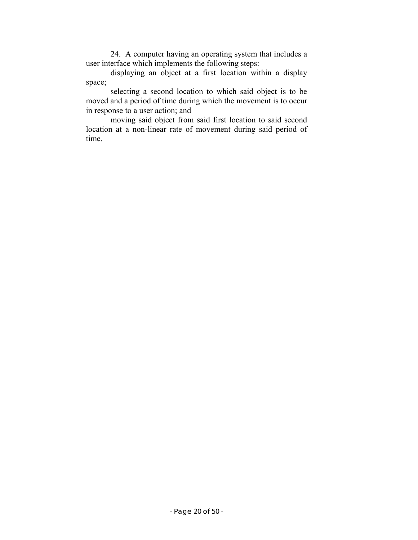24. A computer having an operating system that includes a user interface which implements the following steps:

displaying an object at a first location within a display space;

selecting a second location to which said object is to be moved and a period of time during which the movement is to occur in response to a user action; and

moving said object from said first location to said second location at a non-linear rate of movement during said period of time.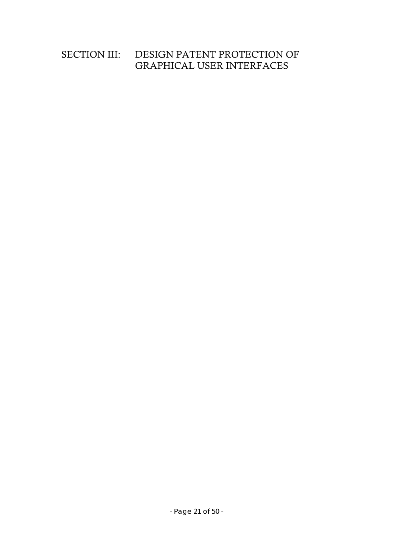# SECTION III: DESIGN PATENT PROTECTION OF GRAPHICAL USER INTERFACES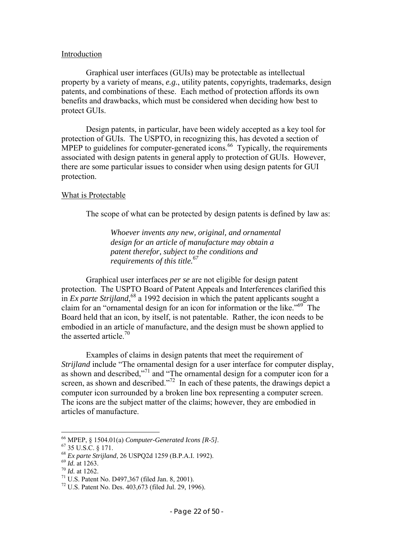#### Introduction

 Graphical user interfaces (GUIs) may be protectable as intellectual property by a variety of means, *e.g.*, utility patents, copyrights, trademarks, design patents, and combinations of these. Each method of protection affords its own benefits and drawbacks, which must be considered when deciding how best to protect GUIs.

 Design patents, in particular, have been widely accepted as a key tool for protection of GUIs. The USPTO, in recognizing this, has devoted a section of MPEP to guidelines for computer-generated icons.<sup>66</sup> Typically, the requirements associated with design patents in general apply to protection of GUIs. However, there are some particular issues to consider when using design patents for GUI protection.

#### What is Protectable

The scope of what can be protected by design patents is defined by law as:

*Whoever invents any new, original, and ornamental design for an article of manufacture may obtain a patent therefor, subject to the conditions and requirements of this title.<sup>67</sup>*

 Graphical user interfaces *per se* are not eligible for design patent protection. The USPTO Board of Patent Appeals and Interferences clarified this in *Ex parte Strijland*,<sup>68</sup> a 1992 decision in which the patent applicants sought a claim for an "ornamental design for an icon for information or the like."<sup>69</sup> The Board held that an icon, by itself, is not patentable. Rather, the icon needs to be embodied in an article of manufacture, and the design must be shown applied to the asserted article.<sup>70</sup>

 Examples of claims in design patents that meet the requirement of *Strijland* include "The ornamental design for a user interface for computer display, as shown and described,"71 and "The ornamental design for a computer icon for a screen, as shown and described."<sup>72</sup> In each of these patents, the drawings depict a computer icon surrounded by a broken line box representing a computer screen. The icons are the subject matter of the claims; however, they are embodied in articles of manufacture.

<sup>66</sup> MPEP, § 1504.01(a) *Computer-Generated Icons [R-5]*. 67 35 U.S.C. § 171.

<sup>&</sup>lt;sup>68</sup> *Ex parte Strijland*, 26 USPQ2d 1259 (B.P.A.I. 1992).<br><sup>69</sup> *Id.* at 1263.<br><sup>70</sup> *Id.* at 1262.<br><sup>71</sup> U.S. Patent No. D497,367 (filed Jan. 8, 2001).

<sup>72</sup> U.S. Patent No. Des. 403,673 (filed Jul. 29, 1996).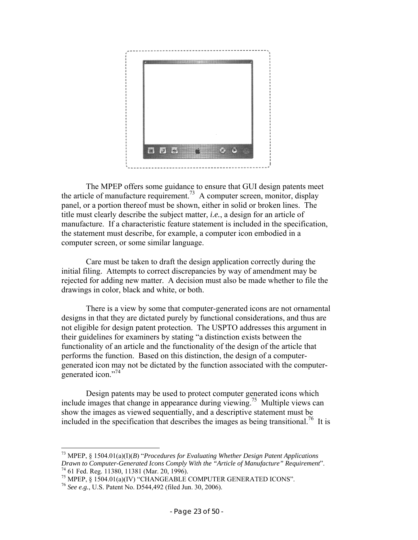

 The MPEP offers some guidance to ensure that GUI design patents meet the article of manufacture requirement.<sup>73</sup> A computer screen, monitor, display panel, or a portion thereof must be shown, either in solid or broken lines. The title must clearly describe the subject matter, *i.e.*, a design for an article of manufacture. If a characteristic feature statement is included in the specification, the statement must describe, for example, a computer icon embodied in a computer screen, or some similar language.

 Care must be taken to draft the design application correctly during the initial filing. Attempts to correct discrepancies by way of amendment may be rejected for adding new matter. A decision must also be made whether to file the drawings in color, black and white, or both.

 There is a view by some that computer-generated icons are not ornamental designs in that they are dictated purely by functional considerations, and thus are not eligible for design patent protection. The USPTO addresses this argument in their guidelines for examiners by stating "a distinction exists between the functionality of an article and the functionality of the design of the article that performs the function. Based on this distinction, the design of a computergenerated icon may not be dictated by the function associated with the computergenerated icon."<sup>74</sup>

 Design patents may be used to protect computer generated icons which include images that change in appearance during viewing.75 Multiple views can show the images as viewed sequentially, and a descriptive statement must be included in the specification that describes the images as being transitional.<sup>76</sup> It is

<sup>73</sup> MPEP, § 1504.01(a)(I)(*B*) "*Procedures for Evaluating Whether Design Patent Applications Drawn to Computer-Generated Icons Comply With the "Article of Manufacture" Requirement".* <sup>74</sup> 61 Fed. Reg. 11380, 11381 (Mar. 20, 1996).

<sup>75</sup> MPEP, § 1504.01(a)(IV) "CHANGEABLE COMPUTER GENERATED ICONS".

<sup>76</sup> *See e.g.*, U.S. Patent No. D544,492 (filed Jun. 30, 2006).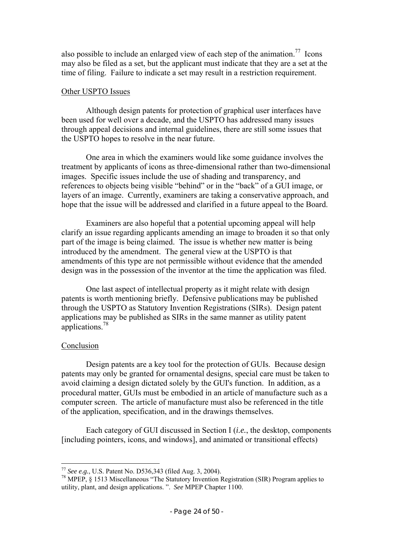also possible to include an enlarged view of each step of the animation.<sup>77</sup> Icons may also be filed as a set, but the applicant must indicate that they are a set at the time of filing. Failure to indicate a set may result in a restriction requirement.

#### Other USPTO Issues

 Although design patents for protection of graphical user interfaces have been used for well over a decade, and the USPTO has addressed many issues through appeal decisions and internal guidelines, there are still some issues that the USPTO hopes to resolve in the near future.

 One area in which the examiners would like some guidance involves the treatment by applicants of icons as three-dimensional rather than two-dimensional images. Specific issues include the use of shading and transparency, and references to objects being visible "behind" or in the "back" of a GUI image, or layers of an image. Currently, examiners are taking a conservative approach, and hope that the issue will be addressed and clarified in a future appeal to the Board.

 Examiners are also hopeful that a potential upcoming appeal will help clarify an issue regarding applicants amending an image to broaden it so that only part of the image is being claimed. The issue is whether new matter is being introduced by the amendment. The general view at the USPTO is that amendments of this type are not permissible without evidence that the amended design was in the possession of the inventor at the time the application was filed.

 One last aspect of intellectual property as it might relate with design patents is worth mentioning briefly. Defensive publications may be published through the USPTO as Statutory Invention Registrations (SIRs). Design patent applications may be published as SIRs in the same manner as utility patent applications.78

# Conclusion

 $\overline{a}$ 

 Design patents are a key tool for the protection of GUIs. Because design patents may only be granted for ornamental designs, special care must be taken to avoid claiming a design dictated solely by the GUI's function. In addition, as a procedural matter, GUIs must be embodied in an article of manufacture such as a computer screen. The article of manufacture must also be referenced in the title of the application, specification, and in the drawings themselves.

 Each category of GUI discussed in Section I (*i.e.*, the desktop, components [including pointers, icons, and windows], and animated or transitional effects)

<sup>77</sup> *See e.g.*, U.S. Patent No. D536,343 (filed Aug. 3, 2004). 78 MPEP, § 1513 Miscellaneous "The Statutory Invention Registration (SIR) Program applies to utility, plant, and design applications. ". *See* MPEP Chapter 1100.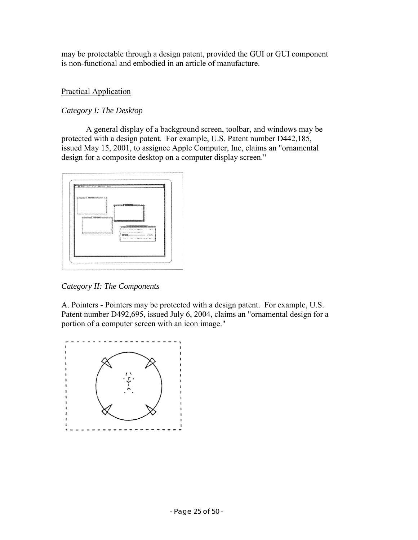may be protectable through a design patent, provided the GUI or GUI component is non-functional and embodied in an article of manufacture.

# Practical Application

# *Category I: The Desktop*

 A general display of a background screen, toolbar, and windows may be protected with a design patent. For example, U.S. Patent number D442,185, issued May 15, 2001, to assignee Apple Computer, Inc, claims an "ornamental design for a composite desktop on a computer display screen."



*Category II: The Components* 

A. Pointers - Pointers may be protected with a design patent. For example, U.S. Patent number D492,695, issued July 6, 2004, claims an "ornamental design for a portion of a computer screen with an icon image."

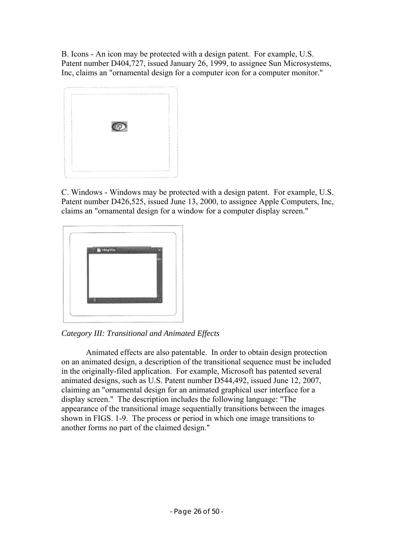B. Icons - An icon may be protected with a design patent. For example, U.S. Patent number D404,727, issued January 26, 1999, to assignee Sun Microsystems, Inc, claims an "ornamental design for a computer icon for a computer monitor."



C. Windows - Windows may be protected with a design patent. For example, U.S. Patent number D426,525, issued June 13, 2000, to assignee Apple Computers, Inc, claims an "ornamental design for a window for a computer display screen."





 Animated effects are also patentable. In order to obtain design protection on an animated design, a description of the transitional sequence must be included in the originally-filed application. For example, Microsoft has patented several animated designs, such as U.S. Patent number D544,492, issued June 12, 2007, claiming an "ornamental design for an animated graphical user interface for a display screen." The description includes the following language: "The appearance of the transitional image sequentially transitions between the images shown in FIGS. 1-9. The process or period in which one image transitions to another forms no part of the claimed design."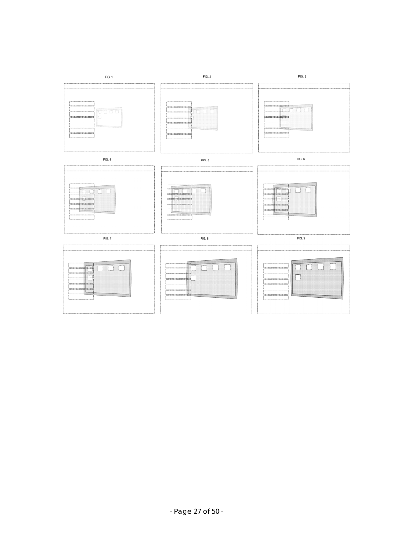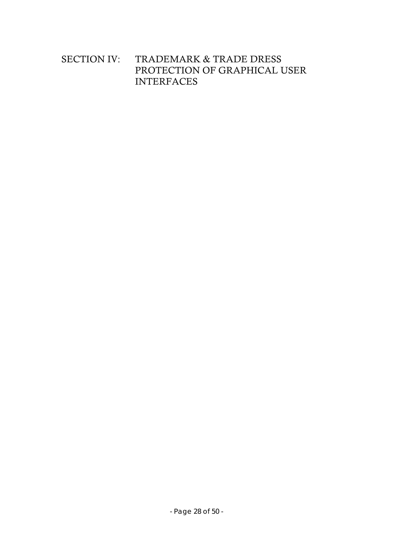# SECTION IV: TRADEMARK & TRADE DRESS PROTECTION OF GRAPHICAL USER INTERFACES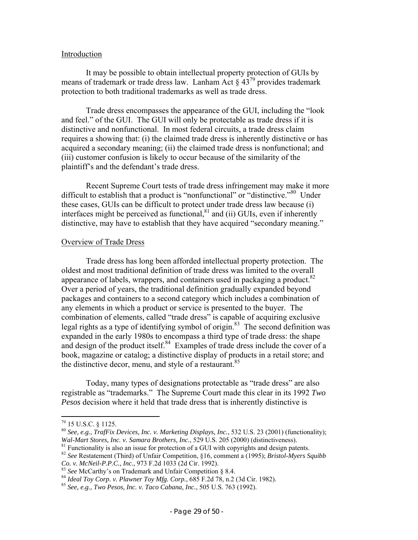#### Introduction

It may be possible to obtain intellectual property protection of GUIs by means of trademark or trade dress law. Lanham Act  $\S 43^{79}$  provides trademark protection to both traditional trademarks as well as trade dress.

Trade dress encompasses the appearance of the GUI, including the "look and feel." of the GUI. The GUI will only be protectable as trade dress if it is distinctive and nonfunctional. In most federal circuits, a trade dress claim requires a showing that: (i) the claimed trade dress is inherently distinctive or has acquired a secondary meaning; (ii) the claimed trade dress is nonfunctional; and (iii) customer confusion is likely to occur because of the similarity of the plaintiff's and the defendant's trade dress.

Recent Supreme Court tests of trade dress infringement may make it more difficult to establish that a product is "nonfunctional" or "distinctive."<sup>80</sup> Under these cases, GUIs can be difficult to protect under trade dress law because (i) interfaces might be perceived as functional, ${}^{81}$  and (ii) GUIs, even if inherently distinctive, may have to establish that they have acquired "secondary meaning."

#### Overview of Trade Dress

Trade dress has long been afforded intellectual property protection. The oldest and most traditional definition of trade dress was limited to the overall appearance of labels, wrappers, and containers used in packaging a product.<sup>82</sup> Over a period of years, the traditional definition gradually expanded beyond packages and containers to a second category which includes a combination of any elements in which a product or service is presented to the buyer. The combination of elements, called "trade dress" is capable of acquiring exclusive legal rights as a type of identifying symbol of origin.<sup>83</sup> The second definition was expanded in the early 1980s to encompass a third type of trade dress: the shape and design of the product itself.<sup>84</sup> Examples of trade dress include the cover of a book, magazine or catalog; a distinctive display of products in a retail store; and the distinctive decor, menu, and style of a restaurant.  $85$ 

Today, many types of designations protectable as "trade dress" are also registrable as "trademarks." The Supreme Court made this clear in its 1992 *Two Pesos* decision where it held that trade dress that is inherently distinctive is

<sup>79 15</sup> U.S.C. § 1125.

<sup>80</sup> *See, e.g.*, *TrafFix Devices, Inc. v. Marketing Displays, Inc.*, 532 U.S. 23 (2001) (functionality);

<sup>&</sup>lt;sup>81</sup> Functionality is also an issue for protection of a GUI with copyrights and design patents.

<sup>82</sup> *See* Restatement (Third) of Unfair Competition, §16, comment a (1995); *Bristol-Myers Squibb*  Co. v. McNeil-P.P.C., Inc., 973 F.2d 1033 (2d Cir. 1992).<br>
<sup>83</sup> See McCarthy's on Trademark and Unfair Competition § 8.4.<br>
<sup>84</sup> Ideal Toy Corp. v. Plawner Toy Mfg. Corp., 685 F.2d 78, n.2 (3d Cir. 1982).<br>
<sup>85</sup> See, e.g.,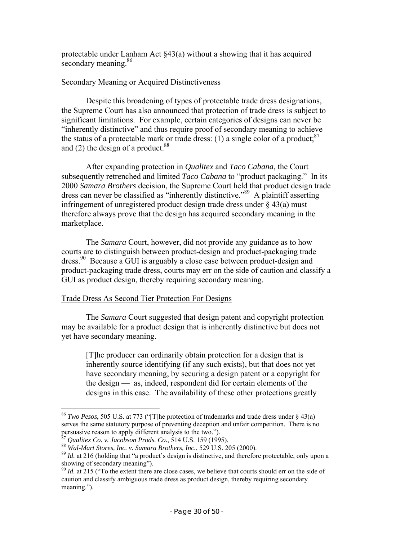protectable under Lanham Act §43(a) without a showing that it has acquired secondary meaning.<sup>86</sup>

# Secondary Meaning or Acquired Distinctiveness

Despite this broadening of types of protectable trade dress designations, the Supreme Court has also announced that protection of trade dress is subject to significant limitations. For example, certain categories of designs can never be "inherently distinctive" and thus require proof of secondary meaning to achieve the status of a protectable mark or trade dress: (1) a single color of a product:  $87$ and (2) the design of a product.<sup>88</sup>

After expanding protection in *Qualitex* and *Taco Cabana*, the Court subsequently retrenched and limited *Taco Cabana* to "product packaging." In its 2000 *Samara Brothers* decision, the Supreme Court held that product design trade dress can never be classified as "inherently distinctive."89 A plaintiff asserting infringement of unregistered product design trade dress under  $\S$  43(a) must therefore always prove that the design has acquired secondary meaning in the marketplace.

The *Samara* Court, however, did not provide any guidance as to how courts are to distinguish between product-design and product-packaging trade dress.<sup>90</sup> Because a GUI is arguably a close case between product-design and product-packaging trade dress, courts may err on the side of caution and classify a GUI as product design, thereby requiring secondary meaning.

# Trade Dress As Second Tier Protection For Designs

The *Samara* Court suggested that design patent and copyright protection may be available for a product design that is inherently distinctive but does not yet have secondary meaning.

[T]he producer can ordinarily obtain protection for a design that is inherently source identifying (if any such exists), but that does not yet have secondary meaning, by securing a design patent or a copyright for the design — as, indeed, respondent did for certain elements of the designs in this case. The availability of these other protections greatly

<sup>86</sup> *Two Pesos*, 505 U.S. at 773 ("[T]he protection of trademarks and trade dress under § 43(a) serves the same statutory purpose of preventing deception and unfair competition. There is no persuasive reason to apply different analysis to the two.").<br><sup>87</sup> Qualitex Co. v. Jacobson Prods. Co., 514 U.S. 159 (1995).

<sup>&</sup>lt;sup>88</sup> Wal-Mart Stores, Inc. v. Samara Brothers, Inc., 529 U.S. 205 (2000).<br><sup>89</sup> Id. at 216 (holding that "a product's design is distinctive, and therefore protectable, only upon a showing of secondary meaning").

<sup>&</sup>lt;sup>90</sup> *Id.* at 215 ("To the extent there are close cases, we believe that courts should err on the side of caution and classify ambiguous trade dress as product design, thereby requiring secondary meaning.").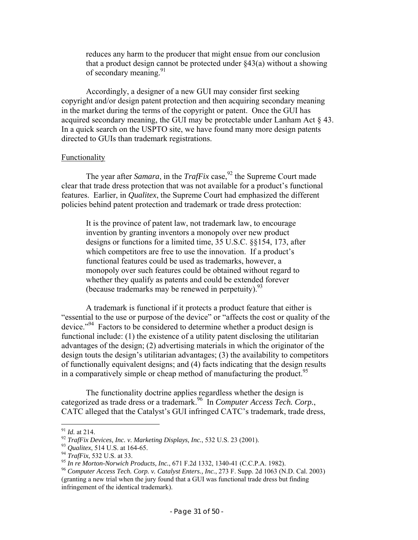reduces any harm to the producer that might ensue from our conclusion that a product design cannot be protected under  $\S 43(a)$  without a showing of secondary meaning.<sup>91</sup>

Accordingly, a designer of a new GUI may consider first seeking copyright and/or design patent protection and then acquiring secondary meaning in the market during the terms of the copyright or patent. Once the GUI has acquired secondary meaning, the GUI may be protectable under Lanham Act § 43. In a quick search on the USPTO site, we have found many more design patents directed to GUIs than trademark registrations.

# Functionality

The year after *Samara*, in the *TrafFix* case,  $92$  the Supreme Court made clear that trade dress protection that was not available for a product's functional features. Earlier, in *Qualitex*, the Supreme Court had emphasized the different policies behind patent protection and trademark or trade dress protection:

It is the province of patent law, not trademark law, to encourage invention by granting inventors a monopoly over new product designs or functions for a limited time, 35 U.S.C. §§154, 173, after which competitors are free to use the innovation. If a product's functional features could be used as trademarks, however, a monopoly over such features could be obtained without regard to whether they qualify as patents and could be extended forever (because trademarks may be renewed in perpetuity).  $93$ 

A trademark is functional if it protects a product feature that either is "essential to the use or purpose of the device" or "affects the cost or quality of the device."<sup>94</sup> Factors to be considered to determine whether a product design is functional include: (1) the existence of a utility patent disclosing the utilitarian advantages of the design; (2) advertising materials in which the originator of the design touts the design's utilitarian advantages; (3) the availability to competitors of functionally equivalent designs; and (4) facts indicating that the design results in a comparatively simple or cheap method of manufacturing the product.<sup>95</sup>

The functionality doctrine applies regardless whether the design is categorized as trade dress or a trademark.96 In *Computer Access Tech. Corp.*, CATC alleged that the Catalyst's GUI infringed CATC's trademark, trade dress,

 $91$  *Id.* at 214.

<sup>&</sup>lt;sup>92</sup> *TrafFix Devices, Inc. v. Marketing Displays, Inc., 532 U.S. 23 (2001).*<br><sup>93</sup> *Qualitex, 514 U.S. at 164-65.*<br><sup>94</sup> *TrafFix, 532 U.S. at 33.*<br><sup>95</sup> *In re Morton-Norwich Products, Inc., 671 F.2d 1332, 1340-41 (C.C.P.A* (granting a new trial when the jury found that a GUI was functional trade dress but finding infringement of the identical trademark).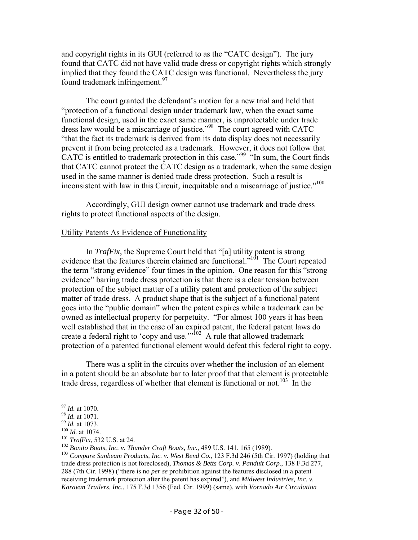and copyright rights in its GUI (referred to as the "CATC design"). The jury found that CATC did not have valid trade dress or copyright rights which strongly implied that they found the CATC design was functional. Nevertheless the jury found trademark infringement.<sup>97</sup>

The court granted the defendant's motion for a new trial and held that "protection of a functional design under trademark law, when the exact same functional design, used in the exact same manner, is unprotectable under trade dress law would be a miscarriage of justice."<sup>98</sup> The court agreed with CATC "that the fact its trademark is derived from its data display does not necessarily prevent it from being protected as a trademark. However, it does not follow that CATC is entitled to trademark protection in this case."<sup>99</sup> "In sum, the Court finds that CATC cannot protect the CATC design as a trademark, when the same design used in the same manner is denied trade dress protection. Such a result is inconsistent with law in this Circuit, inequitable and a miscarriage of justice."<sup>100</sup>

Accordingly, GUI design owner cannot use trademark and trade dress rights to protect functional aspects of the design.

#### Utility Patents As Evidence of Functionality

In *TrafFix*, the Supreme Court held that "[a] utility patent is strong evidence that the features therein claimed are functional."<sup>101</sup> The Court repeated the term "strong evidence" four times in the opinion. One reason for this "strong evidence" barring trade dress protection is that there is a clear tension between protection of the subject matter of a utility patent and protection of the subject matter of trade dress. A product shape that is the subject of a functional patent goes into the "public domain" when the patent expires while a trademark can be owned as intellectual property for perpetuity. "For almost 100 years it has been well established that in the case of an expired patent, the federal patent laws do create a federal right to 'copy and use."<sup> $102$ </sup> A rule that allowed trademark protection of a patented functional element would defeat this federal right to copy.

There was a split in the circuits over whether the inclusion of an element in a patent should be an absolute bar to later proof that that element is protectable trade dress, regardless of whether that element is functional or not.<sup>103</sup> In the

<sup>&</sup>lt;sup>97</sup> *Id.* at 1070.<br><sup>98</sup> *Id.* at 1071.<br><sup>109</sup> *Id.* at 1073.<br><sup>100</sup> *Id.* at 1074.<br><sup>101</sup> *TrafFix*, 532 U.S. at 24.<br><sup>101</sup> *TrafFix*, 532 U.S. at 24.<br><sup>102</sup> *Bonito Boats, Inc. v. Thunder Craft Boats, Inc.,* 489 U.S. 141, 16 trade dress protection is not foreclosed), *Thomas & Betts Corp. v. Panduit Corp.*, 138 F.3d 277, 288 (7th Cir. 1998) ("there is no *per se* prohibition against the features disclosed in a patent receiving trademark protection after the patent has expired"), and *Midwest Industries, Inc. v. Karavan Trailers, Inc.*, 175 F.3d 1356 (Fed. Cir. 1999) (same), with *Vornado Air Circulation*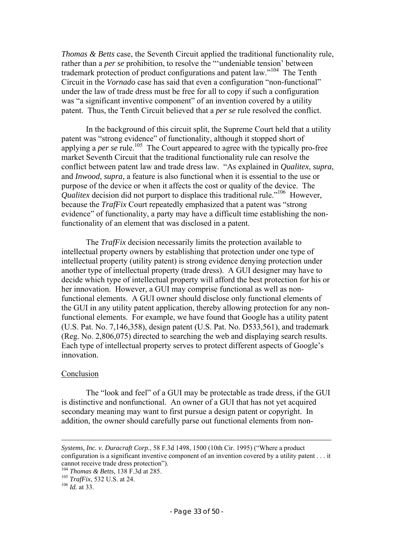*Thomas & Betts* case, the Seventh Circuit applied the traditional functionality rule, rather than a *per se* prohibition, to resolve the "'undeniable tension' between trademark protection of product configurations and patent law."<sup>104</sup> The Tenth Circuit in the *Vornado* case has said that even a configuration "non-functional" under the law of trade dress must be free for all to copy if such a configuration was "a significant inventive component" of an invention covered by a utility patent. Thus, the Tenth Circuit believed that a *per se* rule resolved the conflict.

In the background of this circuit split, the Supreme Court held that a utility patent was "strong evidence" of functionality, although it stopped short of applying a *per se* rule.<sup>105</sup> The Court appeared to agree with the typically pro-free market Seventh Circuit that the traditional functionality rule can resolve the conflict between patent law and trade dress law. "As explained in *Qualitex*, *supra*, and *Inwood*, *supra*, a feature is also functional when it is essential to the use or purpose of the device or when it affects the cost or quality of the device. The *Qualitex* decision did not purport to displace this traditional rule."<sup>106</sup> However, because the *TrafFix* Court repeatedly emphasized that a patent was "strong evidence" of functionality, a party may have a difficult time establishing the nonfunctionality of an element that was disclosed in a patent.

The *TrafFix* decision necessarily limits the protection available to intellectual property owners by establishing that protection under one type of intellectual property (utility patent) is strong evidence denying protection under another type of intellectual property (trade dress). A GUI designer may have to decide which type of intellectual property will afford the best protection for his or her innovation. However, a GUI may comprise functional as well as nonfunctional elements. A GUI owner should disclose only functional elements of the GUI in any utility patent application, thereby allowing protection for any nonfunctional elements. For example, we have found that Google has a utility patent (U.S. Pat. No. 7,146,358), design patent (U.S. Pat. No. D533,561), and trademark (Reg. No. 2,806,075) directed to searching the web and displaying search results. Each type of intellectual property serves to protect different aspects of Google's innovation.

#### Conclusion

The "look and feel" of a GUI may be protectable as trade dress, if the GUI is distinctive and nonfunctional. An owner of a GUI that has not yet acquired secondary meaning may want to first pursue a design patent or copyright. In addition, the owner should carefully parse out functional elements from non-

*Systems, Inc. v. Duracraft Corp.*, 58 F.3d 1498, 1500 (10th Cir. 1995) ("Where a product configuration is a significant inventive component of an invention covered by a utility patent . . . it cannot receive trade dress protection").

<sup>104</sup> *Thomas & Betts*, 138 F.3d at 285. 105 *TrafFix*, 532 U.S. at 24. 106 *Id.* at 33.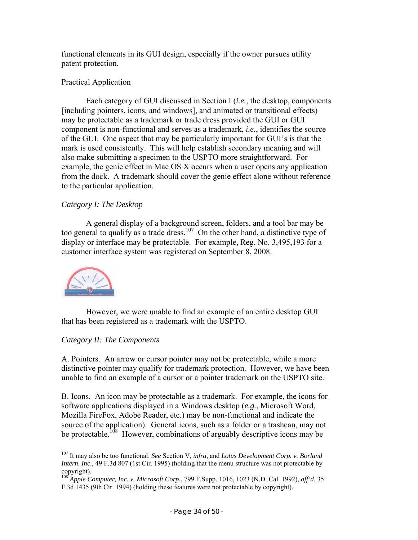functional elements in its GUI design, especially if the owner pursues utility patent protection.

# Practical Application

Each category of GUI discussed in Section I (*i.e.*, the desktop, components [including pointers, icons, and windows], and animated or transitional effects) may be protectable as a trademark or trade dress provided the GUI or GUI component is non-functional and serves as a trademark, *i.e.*, identifies the source of the GUI. One aspect that may be particularly important for GUI's is that the mark is used consistently. This will help establish secondary meaning and will also make submitting a specimen to the USPTO more straightforward. For example, the genie effect in Mac OS X occurs when a user opens any application from the dock. A trademark should cover the genie effect alone without reference to the particular application.

# *Category I: The Desktop*

A general display of a background screen, folders, and a tool bar may be too general to qualify as a trade dress.<sup>107</sup> On the other hand, a distinctive type of display or interface may be protectable. For example, Reg. No. 3,495,193 for a customer interface system was registered on September 8, 2008.



 $\overline{a}$ 

However, we were unable to find an example of an entire desktop GUI that has been registered as a trademark with the USPTO.

# *Category II: The Components*

A. Pointers. An arrow or cursor pointer may not be protectable, while a more distinctive pointer may qualify for trademark protection. However, we have been unable to find an example of a cursor or a pointer trademark on the USPTO site.

B. Icons. An icon may be protectable as a trademark. For example, the icons for software applications displayed in a Windows desktop (*e.g.*, Microsoft Word, Mozilla FireFox, Adobe Reader, etc.) may be non-functional and indicate the source of the application). General icons, such as a folder or a trashcan, may not be protectable.<sup>108</sup> However, combinations of arguably descriptive icons may be

<sup>107</sup> It may also be too functional. *See* Section V, *infra*, and *Lotus Development Corp. v. Borland Intern. Inc.*, 49 F.3d 807 (1st Cir. 1995) (holding that the menu structure was not protectable by copyright).

<sup>108</sup> *Apple Computer, Inc. v. Microsoft Corp.*, 799 F.Supp. 1016, 1023 (N.D. Cal. 1992), *aff'd*, 35 F.3d 1435 (9th Cir. 1994) (holding these features were not protectable by copyright).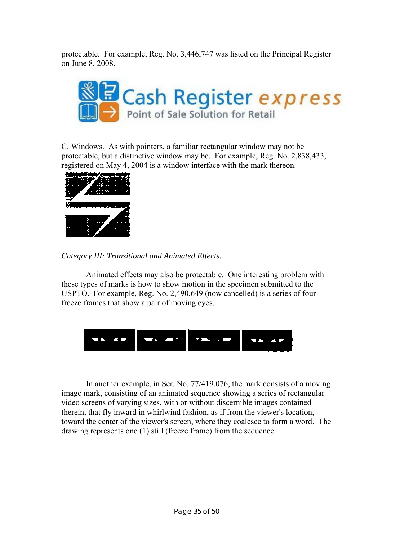protectable. For example, Reg. No. 3,446,747 was listed on the Principal Register on June 8, 2008.



C. Windows. As with pointers, a familiar rectangular window may not be protectable, but a distinctive window may be. For example, Reg. No. 2,838,433, registered on May 4, 2004 is a window interface with the mark thereon.





Animated effects may also be protectable. One interesting problem with these types of marks is how to show motion in the specimen submitted to the USPTO. For example, Reg. No. 2,490,649 (now cancelled) is a series of four freeze frames that show a pair of moving eyes.



 In another example, in Ser. No. 77/419,076, the mark consists of a moving image mark, consisting of an animated sequence showing a series of rectangular video screens of varying sizes, with or without discernible images contained therein, that fly inward in whirlwind fashion, as if from the viewer's location, toward the center of the viewer's screen, where they coalesce to form a word. The drawing represents one (1) still (freeze frame) from the sequence.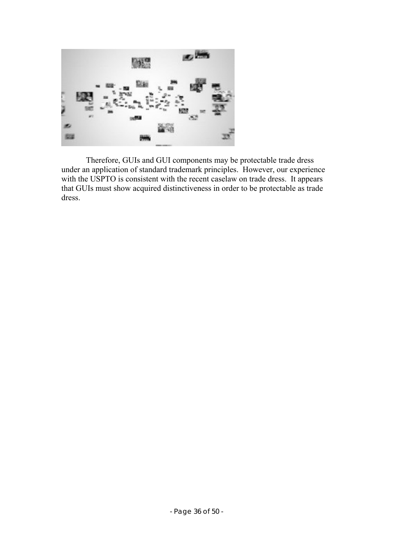

Therefore, GUIs and GUI components may be protectable trade dress under an application of standard trademark principles. However, our experience with the USPTO is consistent with the recent caselaw on trade dress. It appears that GUIs must show acquired distinctiveness in order to be protectable as trade dress.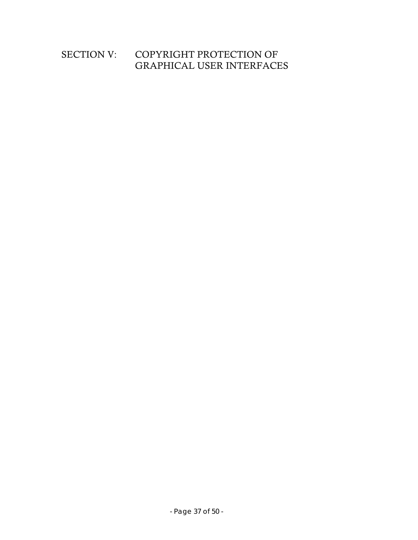# SECTION V: COPYRIGHT PROTECTION OF GRAPHICAL USER INTERFACES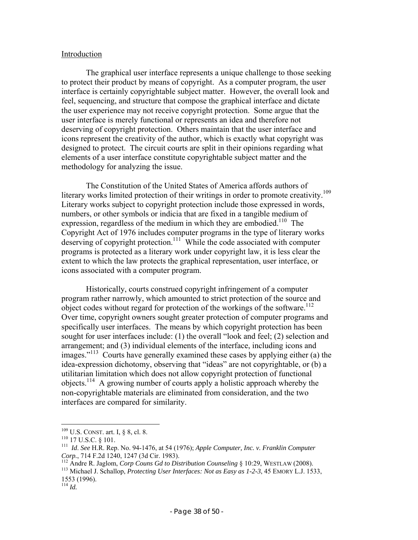#### Introduction

The graphical user interface represents a unique challenge to those seeking to protect their product by means of copyright. As a computer program, the user interface is certainly copyrightable subject matter. However, the overall look and feel, sequencing, and structure that compose the graphical interface and dictate the user experience may not receive copyright protection. Some argue that the user interface is merely functional or represents an idea and therefore not deserving of copyright protection. Others maintain that the user interface and icons represent the creativity of the author, which is exactly what copyright was designed to protect. The circuit courts are split in their opinions regarding what elements of a user interface constitute copyrightable subject matter and the methodology for analyzing the issue.

The Constitution of the United States of America affords authors of literary works limited protection of their writings in order to promote creativity.<sup>109</sup> Literary works subject to copyright protection include those expressed in words, numbers, or other symbols or indicia that are fixed in a tangible medium of expression, regardless of the medium in which they are embodied.<sup>110</sup> The Copyright Act of 1976 includes computer programs in the type of literary works deserving of copyright protection.<sup>111</sup> While the code associated with computer programs is protected as a literary work under copyright law, it is less clear the extent to which the law protects the graphical representation, user interface, or icons associated with a computer program.

Historically, courts construed copyright infringement of a computer program rather narrowly, which amounted to strict protection of the source and object codes without regard for protection of the workings of the software.<sup>112</sup> Over time, copyright owners sought greater protection of computer programs and specifically user interfaces. The means by which copyright protection has been sought for user interfaces include: (1) the overall "look and feel; (2) selection and arrangement; and (3) individual elements of the interface, including icons and images."113 Courts have generally examined these cases by applying either (a) the idea-expression dichotomy, observing that "ideas" are not copyrightable, or (b) a utilitarian limitation which does not allow copyright protection of functional objects.114 A growing number of courts apply a holistic approach whereby the non-copyrightable materials are eliminated from consideration, and the two interfaces are compared for similarity.

 $109$  U.S. CONST. art. I, § 8, cl. 8.

<sup>110</sup> U.S. Const. art. 1, § 8, cl. 8.<br><sup>110</sup> 17 U.S.C. § 101.<br><sup>111</sup> *Id. See* H.R. Rep. No. 94-1476, at 54 (1976); *Apple Computer, Inc. v. Franklin Computer* Corp., 714 F.2d 1240, 1247 (3d Cir. 1983).<br><sup>112</sup> Andre R. Jaglom, *Corp Couns Gd to Distribution Counseling* § 10:29, WESTLAW (2008).<br><sup>113</sup> Michael J. Schallop, *Protecting User Interfaces: Not as Easy as 1-2-3*, 45 EMORY

<sup>1553 (1996).</sup> 

<sup>114</sup> *Id.*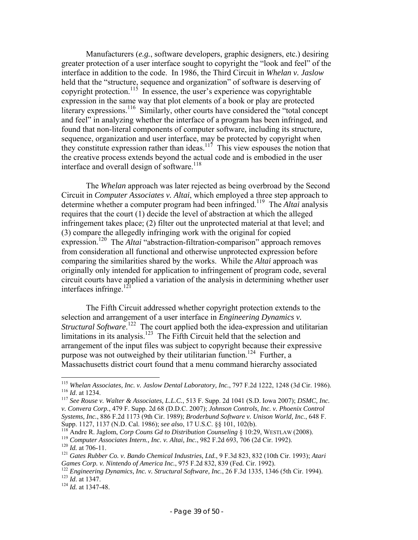Manufacturers (*e.g.*, software developers, graphic designers, etc.) desiring greater protection of a user interface sought to copyright the "look and feel" of the interface in addition to the code. In 1986, the Third Circuit in *Whelan v. Jaslow* held that the "structure, sequence and organization" of software is deserving of copyright protection.<sup>115</sup> In essence, the user's experience was copyrightable expression in the same way that plot elements of a book or play are protected literary expressions.<sup>116</sup> Similarly, other courts have considered the "total concept and feel" in analyzing whether the interface of a program has been infringed, and found that non-literal components of computer software, including its structure, sequence, organization and user interface, may be protected by copyright when they constitute expression rather than ideas.<sup>117</sup> This view espouses the notion that the creative process extends beyond the actual code and is embodied in the user interface and overall design of software.<sup>118</sup>

The *Whelan* approach was later rejected as being overbroad by the Second Circuit in *Computer Associates v. Altai*, which employed a three step approach to determine whether a computer program had been infringed.119 The *Altai* analysis requires that the court (1) decide the level of abstraction at which the alleged infringement takes place; (2) filter out the unprotected material at that level; and (3) compare the allegedly infringing work with the original for copied expression.<sup>120</sup> The *Altai* "abstraction-filtration-comparison" approach removes from consideration all functional and otherwise unprotected expression before comparing the similarities shared by the works. While the *Altai* approach was originally only intended for application to infringement of program code, several circuit courts have applied a variation of the analysis in determining whether user interfaces infringe. $12$ 

The Fifth Circuit addressed whether copyright protection extends to the selection and arrangement of a user interface in *Engineering Dynamics v.*  Structural Software.<sup>122</sup> The court applied both the idea-expression and utilitarian limitations in its analysis.<sup>123</sup> The Fifth Circuit held that the selection and arrangement of the input files was subject to copyright because their expressive purpose was not outweighed by their utilitarian function.<sup>124</sup> Further, a Massachusetts district court found that a menu command hierarchy associated

<sup>&</sup>lt;sup>115</sup> Whelan Associates, Inc. v. Jaslow Dental Laboratory, Inc., 797 F.2d 1222, 1248 (3d Cir. 1986).<br><sup>116</sup> Id. at 1234.<br><sup>117</sup> See Rouse v. Walter & Associates, L.L.C., 513 F. Supp. 2d 1041 (S.D. Iowa 2007); *DSMC, Inc.* 

*v. Convera Corp.*, 479 F. Supp. 2d 68 (D.D.C. 2007); *Johnson Controls, Inc. v. Phoenix Control Systems, Inc.*, 886 F.2d 1173 (9th Cir. 1989); *Broderbund Software v. Unison World, Inc.*, 648 F.

Supp. 1127, 1137 (N.D. Cal. 1986); *see also*, 17 U.S.C. §§ 101, 102(b).<br><sup>118</sup> Andre R. Jaglom, *Corp Couns Gd to Distribution Counseling* § 10:29, WESTLAW (2008).<br><sup>119</sup> Computer Associates Intern., Inc. v. Altai, Inc., 98

<sup>&</sup>lt;sup>122</sup> Engineering Dynamics, *Inc. v. Structural Software, Inc.*, 26 F.3d 1335, 1346 (5th Cir. 1994).<br><sup>123</sup> *Id.* at 1347.<br><sup>124</sup> *Id.* at 1347-48.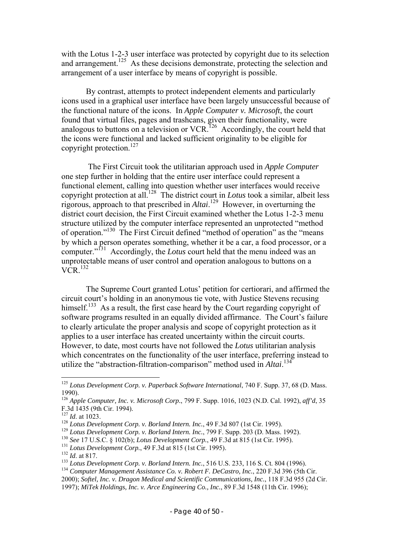with the Lotus 1-2-3 user interface was protected by copyright due to its selection and arrangement.<sup>125</sup> As these decisions demonstrate, protecting the selection and arrangement of a user interface by means of copyright is possible.

By contrast, attempts to protect independent elements and particularly icons used in a graphical user interface have been largely unsuccessful because of the functional nature of the icons. In *Apple Computer v. Microsoft*, the court found that virtual files, pages and trashcans, given their functionality, were analogous to buttons on a television or VCR.<sup>126</sup> Accordingly, the court held that the icons were functional and lacked sufficient originality to be eligible for copyright protection.<sup>127</sup>

 The First Circuit took the utilitarian approach used in *Apple Computer* one step further in holding that the entire user interface could represent a functional element, calling into question whether user interfaces would receive copyright protection at all.128 The district court in *Lotus* took a similar, albeit less rigorous, approach to that prescribed in *Altai*. 129 However, in overturning the district court decision, the First Circuit examined whether the Lotus 1-2-3 menu structure utilized by the computer interface represented an unprotected "method of operation."130 The First Circuit defined "method of operation" as the "means by which a person operates something, whether it be a car, a food processor, or a computer."<sup>131</sup> Accordingly, the *Lotus* court held that the menu indeed was an unprotectable means of user control and operation analogous to buttons on a  $VCR$ <sup>132</sup>

The Supreme Court granted Lotus' petition for certiorari, and affirmed the circuit court's holding in an anonymous tie vote, with Justice Stevens recusing himself.<sup>133</sup> As a result, the first case heard by the Court regarding copyright of software programs resulted in an equally divided affirmance. The Court's failure to clearly articulate the proper analysis and scope of copyright protection as it applies to a user interface has created uncertainty within the circuit courts. However, to date, most courts have not followed the *Lotus* utilitarian analysis which concentrates on the functionality of the user interface, preferring instead to utilize the "abstraction-filtration-comparison" method used in *Altai*. 134

1

<sup>125</sup> *Lotus Development Corp. v. Paperback Software International*, 740 F. Supp. 37, 68 (D. Mass. 1990).

<sup>126</sup> *Apple Computer, Inc. v. Microsoft Corp.*, 799 F. Supp. 1016, 1023 (N.D. Cal. 1992), *aff'd*, 35 F.3d 1435 (9th Cir. 1994).<br> $^{127}$  *Id.* at 1023.

<sup>&</sup>lt;sup>128</sup> Lotus Development Corp. v. Borland Intern. Inc., 49 F.3d 807 (1st Cir. 1995).<br><sup>129</sup> Lotus Development Corp. v. Borland Intern. Inc., 799 F. Supp. 203 (D. Mass. 1992).<br><sup>130</sup> See 17 U.S.C. § 102(b); Lotus Development

<sup>2000);</sup> *Softel, Inc. v. Dragon Medical and Scientific Communications, Inc.*, 118 F.3d 955 (2d Cir.

<sup>1997);</sup> *MiTek Holdings, Inc. v. Arce Engineering Co., Inc.*, 89 F.3d 1548 (11th Cir. 1996);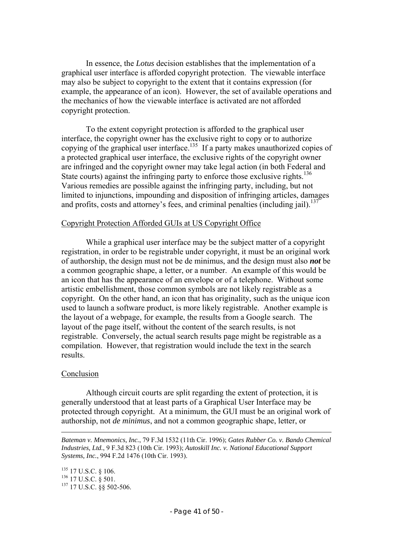In essence, the *Lotus* decision establishes that the implementation of a graphical user interface is afforded copyright protection. The viewable interface may also be subject to copyright to the extent that it contains expression (for example, the appearance of an icon). However, the set of available operations and the mechanics of how the viewable interface is activated are not afforded copyright protection.

To the extent copyright protection is afforded to the graphical user interface, the copyright owner has the exclusive right to copy or to authorize copying of the graphical user interface.<sup>135</sup> If a party makes unauthorized copies of a protected graphical user interface, the exclusive rights of the copyright owner are infringed and the copyright owner may take legal action (in both Federal and State courts) against the infringing party to enforce those exclusive rights.<sup>136</sup> Various remedies are possible against the infringing party, including, but not limited to injunctions, impounding and disposition of infringing articles, damages and profits, costs and attorney's fees, and criminal penalties (including jail).<sup>137</sup>

#### Copyright Protection Afforded GUIs at US Copyright Office

 While a graphical user interface may be the subject matter of a copyright registration, in order to be registrable under copyright, it must be an original work of authorship, the design must not be de minimus, and the design must also *not* be a common geographic shape, a letter, or a number. An example of this would be an icon that has the appearance of an envelope or of a telephone. Without some artistic embellishment, those common symbols are not likely registrable as a copyright. On the other hand, an icon that has originality, such as the unique icon used to launch a software product, is more likely registrable. Another example is the layout of a webpage, for example, the results from a Google search. The layout of the page itself, without the content of the search results, is not registrable. Conversely, the actual search results page might be registrable as a compilation. However, that registration would include the text in the search results.

#### Conclusion

 $\overline{a}$ 

Although circuit courts are split regarding the extent of protection, it is generally understood that at least parts of a Graphical User Interface may be protected through copyright. At a minimum, the GUI must be an original work of authorship, not *de minimus*, and not a common geographic shape, letter, or

135 17 U.S.C. § 106.<br><sup>136</sup> 17 U.S.C. § 501.<br><sup>137</sup> 17 U.S.C. §§ 502-506.

*Bateman v. Mnemonics, Inc.*, 79 F.3d 1532 (11th Cir. 1996); *Gates Rubber Co. v. Bando Chemical Industries, Ltd.*, 9 F.3d 823 (10th Cir. 1993); *Autoskill Inc. v. National Educational Support Systems, Inc.*, 994 F.2d 1476 (10th Cir. 1993).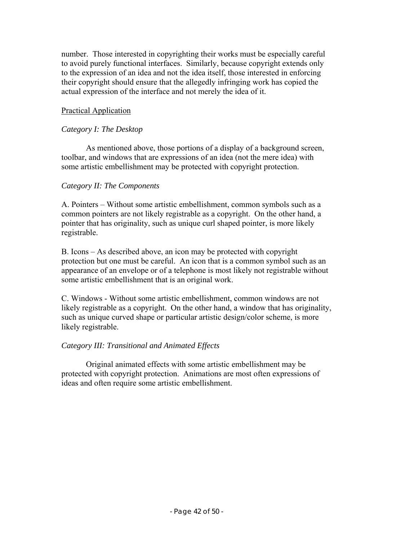number. Those interested in copyrighting their works must be especially careful to avoid purely functional interfaces. Similarly, because copyright extends only to the expression of an idea and not the idea itself, those interested in enforcing their copyright should ensure that the allegedly infringing work has copied the actual expression of the interface and not merely the idea of it.

# Practical Application

# *Category I: The Desktop*

 As mentioned above, those portions of a display of a background screen, toolbar, and windows that are expressions of an idea (not the mere idea) with some artistic embellishment may be protected with copyright protection.

# *Category II: The Components*

A. Pointers – Without some artistic embellishment, common symbols such as a common pointers are not likely registrable as a copyright. On the other hand, a pointer that has originality, such as unique curl shaped pointer, is more likely registrable.

B. Icons – As described above, an icon may be protected with copyright protection but one must be careful. An icon that is a common symbol such as an appearance of an envelope or of a telephone is most likely not registrable without some artistic embellishment that is an original work.

C. Windows - Without some artistic embellishment, common windows are not likely registrable as a copyright. On the other hand, a window that has originality, such as unique curved shape or particular artistic design/color scheme, is more likely registrable.

# *Category III: Transitional and Animated Effects*

 Original animated effects with some artistic embellishment may be protected with copyright protection. Animations are most often expressions of ideas and often require some artistic embellishment.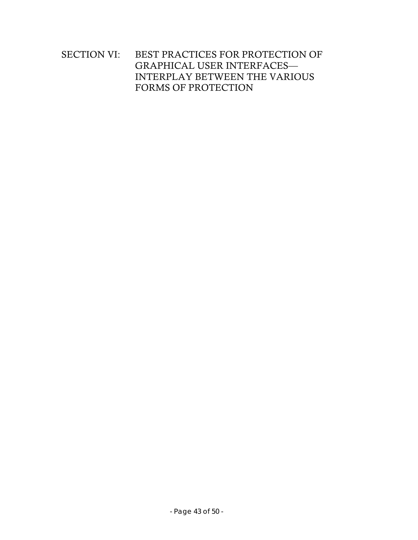# SECTION VI: BEST PRACTICES FOR PROTECTION OF GRAPHICAL USER INTERFACES— INTERPLAY BETWEEN THE VARIOUS FORMS OF PROTECTION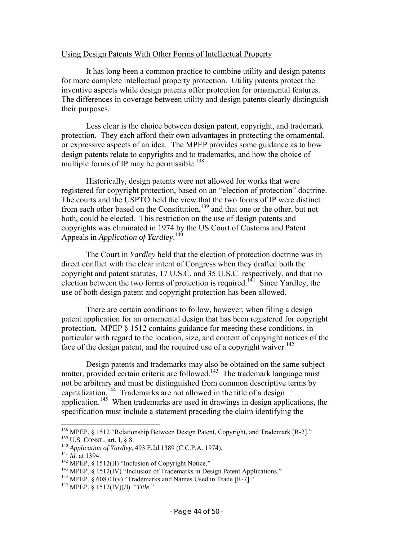#### Using Design Patents With Other Forms of Intellectual Property

 It has long been a common practice to combine utility and design patents for more complete intellectual property protection. Utility patents protect the inventive aspects while design patents offer protection for ornamental features. The differences in coverage between utility and design patents clearly distinguish their purposes.

 Less clear is the choice between design patent, copyright, and trademark protection. They each afford their own advantages in protecting the ornamental, or expressive aspects of an idea. The MPEP provides some guidance as to how design patents relate to copyrights and to trademarks, and how the choice of multiple forms of IP may be permissible.<sup>138</sup>

 Historically, design patents were not allowed for works that were registered for copyright protection, based on an "election of protection" doctrine. The courts and the USPTO held the view that the two forms of IP were distinct from each other based on the Constitution,<sup>139</sup> and that one or the other, but not both, could be elected. This restriction on the use of design patents and copyrights was eliminated in 1974 by the US Court of Customs and Patent Appeals in *Application of Yardley*. 140

 The Court in *Yardley* held that the election of protection doctrine was in direct conflict with the clear intent of Congress when they drafted both the copyright and patent statutes, 17 U.S.C. and 35 U.S.C. respectively, and that no election between the two forms of protection is required.<sup>141</sup> Since Yardley, the use of both design patent and copyright protection has been allowed.

 There are certain conditions to follow, however, when filing a design patent application for an ornamental design that has been registered for copyright protection. MPEP § 1512 contains guidance for meeting these conditions, in particular with regard to the location, size, and content of copyright notices of the face of the design patent, and the required use of a copyright waiver.<sup>142</sup>

 Design patents and trademarks may also be obtained on the same subject matter, provided certain criteria are followed.<sup>143</sup> The trademark language must not be arbitrary and must be distinguished from common descriptive terms by capitalization.<sup> $144$ </sup> Trademarks are not allowed in the title of a design application.<sup>145</sup> When trademarks are used in drawings in design applications, the specification must include a statement preceding the claim identifying the

<sup>&</sup>lt;sup>138</sup> MPEP, § 1512 "Relationship Between Design Patent, Copyright, and Trademark [R-2]."<br><sup>139</sup> U.S. CONST., art. I, § 8.<br><sup>140</sup> Application of Yardley, 493 F.2d 1389 (C.C.P.A. 1974).<br><sup>141</sup> Id. at 1394.<br><sup>142</sup> MPEP, § 1512(I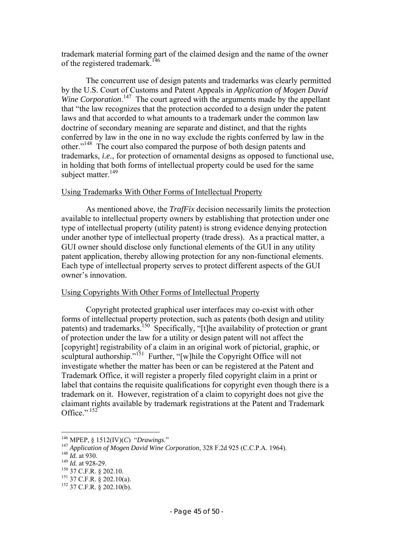trademark material forming part of the claimed design and the name of the owner of the registered trademark.<sup>146</sup>

 The concurrent use of design patents and trademarks was clearly permitted by the U.S. Court of Customs and Patent Appeals in *Application of Mogen David*  Wine Corporation.<sup>147</sup> The court agreed with the arguments made by the appellant that "the law recognizes that the protection accorded to a design under the patent laws and that accorded to what amounts to a trademark under the common law doctrine of secondary meaning are separate and distinct, and that the rights conferred by law in the one in no way exclude the rights conferred by law in the other."148 The court also compared the purpose of both design patents and trademarks, *i.e.*, for protection of ornamental designs as opposed to functional use, in holding that both forms of intellectual property could be used for the same subject matter. $149$ 

# Using Trademarks With Other Forms of Intellectual Property

As mentioned above, the *TrafFix* decision necessarily limits the protection available to intellectual property owners by establishing that protection under one type of intellectual property (utility patent) is strong evidence denying protection under another type of intellectual property (trade dress). As a practical matter, a GUI owner should disclose only functional elements of the GUI in any utility patent application, thereby allowing protection for any non-functional elements. Each type of intellectual property serves to protect different aspects of the GUI owner's innovation.

# Using Copyrights With Other Forms of Intellectual Property

Copyright protected graphical user interfaces may co-exist with other forms of intellectual property protection, such as patents (both design and utility patents) and trademarks.150 Specifically, "[t]he availability of protection or grant of protection under the law for a utility or design patent will not affect the [copyright] registrability of a claim in an original work of pictorial, graphic, or sculptural authorship."<sup>151</sup> Further, "[w]hile the Copyright Office will not investigate whether the matter has been or can be registered at the Patent and Trademark Office, it will register a properly filed copyright claim in a print or label that contains the requisite qualifications for copyright even though there is a trademark on it. However, registration of a claim to copyright does not give the claimant rights available by trademark registrations at the Patent and Trademark Office." $152$ 

<sup>&</sup>lt;sup>146</sup> MPEP, § 1512(IV)(C) "Drawings."

<sup>&</sup>lt;sup>147</sup> Application of Mogen David Wine Corporation, 328 F.2d 925 (C.C.P.A. 1964).<br><sup>148</sup> Id. at 930.<br><sup>148</sup> Id. at 928-29.<br><sup>149</sup> Id. at 928-29.<br><sup>150</sup> 37 C.F.R. § 202.10.<br><sup>151</sup> 37 C.F.R. § 202.10(a).<br><sup>152</sup> 37 C.F.R. § 202.10(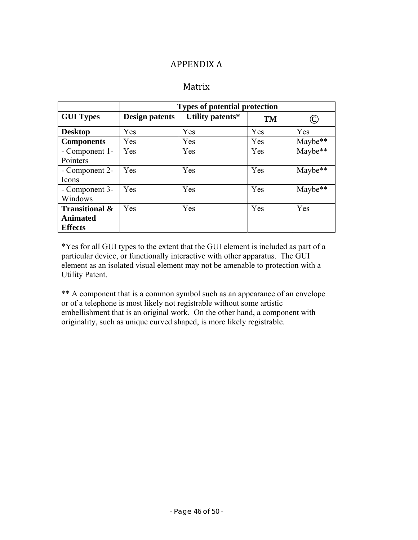# APPENDIX A

# Matrix

|                           | <b>Types of potential protection</b> |                  |           |         |  |
|---------------------------|--------------------------------------|------------------|-----------|---------|--|
| <b>GUI Types</b>          | <b>Design patents</b>                | Utility patents* | <b>TM</b> | C)      |  |
| <b>Desktop</b>            | Yes                                  | Yes              | Yes       | Yes     |  |
| <b>Components</b>         | Yes                                  | Yes              | Yes       | Maybe** |  |
| - Component 1-            | Yes                                  | Yes              | Yes       | Maybe** |  |
| Pointers                  |                                      |                  |           |         |  |
| - Component 2-            | Yes                                  | Yes              | Yes       | Maybe** |  |
| Icons                     |                                      |                  |           |         |  |
| - Component 3-            | Yes                                  | Yes              | Yes       | Maybe** |  |
| Windows                   |                                      |                  |           |         |  |
| <b>Transitional &amp;</b> | Yes                                  | Yes              | Yes       | Yes     |  |
| <b>Animated</b>           |                                      |                  |           |         |  |
| <b>Effects</b>            |                                      |                  |           |         |  |

\*Yes for all GUI types to the extent that the GUI element is included as part of a particular device, or functionally interactive with other apparatus. The GUI element as an isolated visual element may not be amenable to protection with a Utility Patent.

\*\* A component that is a common symbol such as an appearance of an envelope or of a telephone is most likely not registrable without some artistic embellishment that is an original work. On the other hand, a component with originality, such as unique curved shaped, is more likely registrable.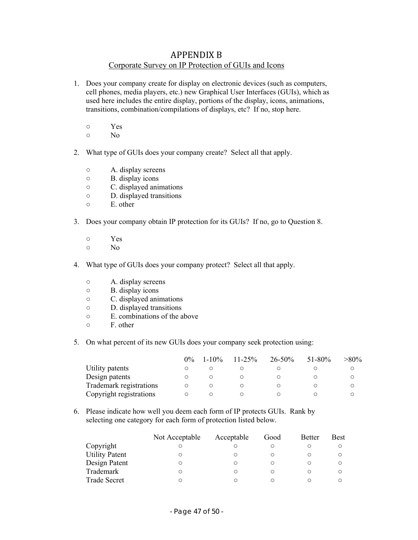# APPENDIX B Corporate Survey on IP Protection of GUIs and Icons

- 1. Does your company create for display on electronic devices (such as computers, cell phones, media players, etc.) new Graphical User Interfaces (GUIs), which as used here includes the entire display, portions of the display, icons, animations, transitions, combination/compilations of displays, etc? If no, stop here.
	- Yes
	- No
- 2. What type of GUIs does your company create? Select all that apply.
	- A. display screens
	- B. display icons
	- C. displayed animations
	- D. displayed transitions
	- E. other
- 3. Does your company obtain IP protection for its GUIs? If no, go to Question 8.
	- Yes
	- No
- 4. What type of GUIs does your company protect? Select all that apply.
	- A. display screens
	- B. display icons
	- C. displayed animations
	- D. displayed transitions
	- E. combinations of the above
	- F. other
- 5. On what percent of its new GUIs does your company seek protection using:

|                         | $0\%$ | $1 - 10\%$ | $11 - 25\%$ | $26 - 50\%$ | $51 - 80\%$ | $>80\%$ |
|-------------------------|-------|------------|-------------|-------------|-------------|---------|
| Utility patents         |       |            |             |             |             |         |
| Design patents          |       |            |             |             |             |         |
| Trademark registrations |       |            |             |             |             |         |
| Copyright registrations |       |            |             |             |             |         |

6. Please indicate how well you deem each form of IP protects GUIs. Rank by selecting one category for each form of protection listed below.

|                       | Not Acceptable | Acceptable | Good | <b>Better</b> | <b>Best</b> |
|-----------------------|----------------|------------|------|---------------|-------------|
| Copyright             |                |            |      |               |             |
| <b>Utility Patent</b> |                |            |      |               |             |
| Design Patent         |                |            |      |               |             |
| Trademark             |                |            |      |               |             |
| <b>Trade Secret</b>   |                |            |      |               |             |